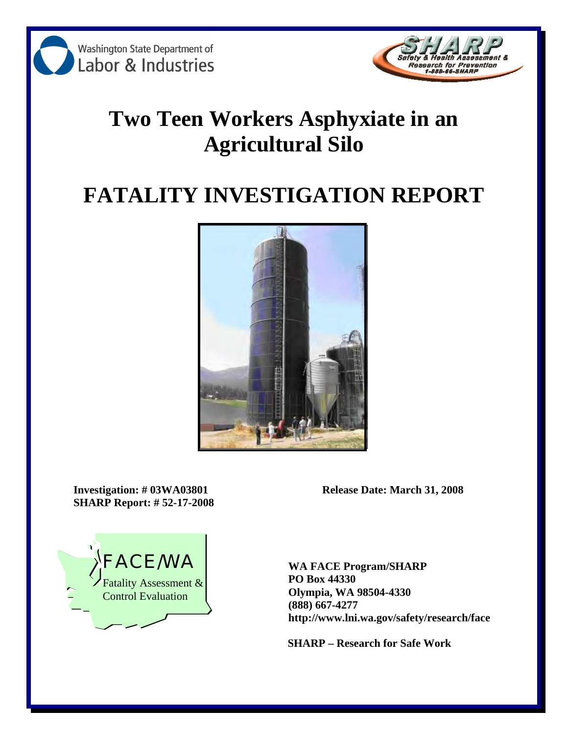



# **Two Teen Workers Asphyxiate in an Agricultural Silo**

# **FATALITY INVESTIGATION REPORT**



**SHARP Report: # 52-17-2008** 

**Investigation: # 03WA03801 Release Date: March 31, 2008** 



**PO Box 44330 Olympia, WA 98504-4330 (888) 667-4277 http://www.lni.wa.gov/safety/research/face** 

**SHARP – Research for Safe Work**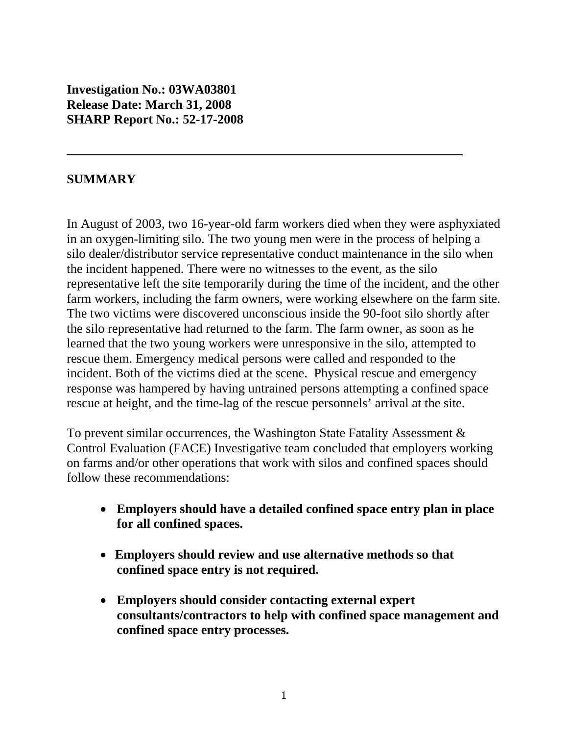**Investigation No.: 03WA03801 Release Date: March 31, 2008 SHARP Report No.: 52-17-2008** 

#### **SUMMARY**

In August of 2003, two 16-year-old farm workers died when they were asphyxiated in an oxygen-limiting silo. The two young men were in the process of helping a silo dealer/distributor service representative conduct maintenance in the silo when the incident happened. There were no witnesses to the event, as the silo representative left the site temporarily during the time of the incident, and the other farm workers, including the farm owners, were working elsewhere on the farm site. The two victims were discovered unconscious inside the 90-foot silo shortly after the silo representative had returned to the farm. The farm owner, as soon as he learned that the two young workers were unresponsive in the silo, attempted to rescue them. Emergency medical persons were called and responded to the incident. Both of the victims died at the scene. Physical rescue and emergency response was hampered by having untrained persons attempting a confined space rescue at height, and the time-lag of the rescue personnels' arrival at the site.

**\_\_\_\_\_\_\_\_\_\_\_\_\_\_\_\_\_\_\_\_\_\_\_\_\_\_\_\_\_\_\_\_\_\_\_\_\_\_\_\_\_\_\_\_\_\_\_\_\_\_\_\_\_\_\_\_\_\_\_\_\_** 

To prevent similar occurrences, the Washington State Fatality Assessment & Control Evaluation (FACE) Investigative team concluded that employers working on farms and/or other operations that work with silos and confined spaces should follow these recommendations:

- • **Employers should have a detailed confined space entry plan in place for all confined spaces.**
- • **Employers should review and use alternative methods so that confined space entry is not required.**
- • **Employers should consider contacting external expert consultants/contractors to help with confined space management and confined space entry processes.**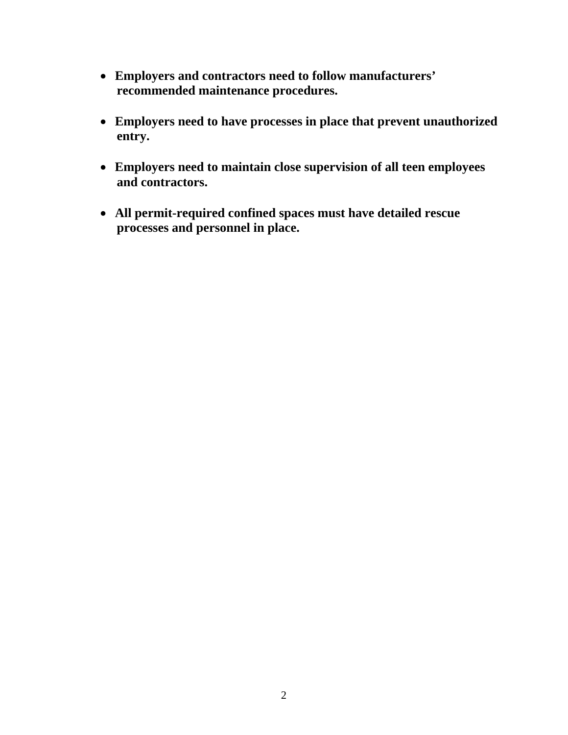- • **Employers and contractors need to follow manufacturers' recommended maintenance procedures.**
- • **Employers need to have processes in place that prevent unauthorized entry.**
- • **Employers need to maintain close supervision of all teen employees and contractors.**
- • **All permit-required confined spaces must have detailed rescue processes and personnel in place.**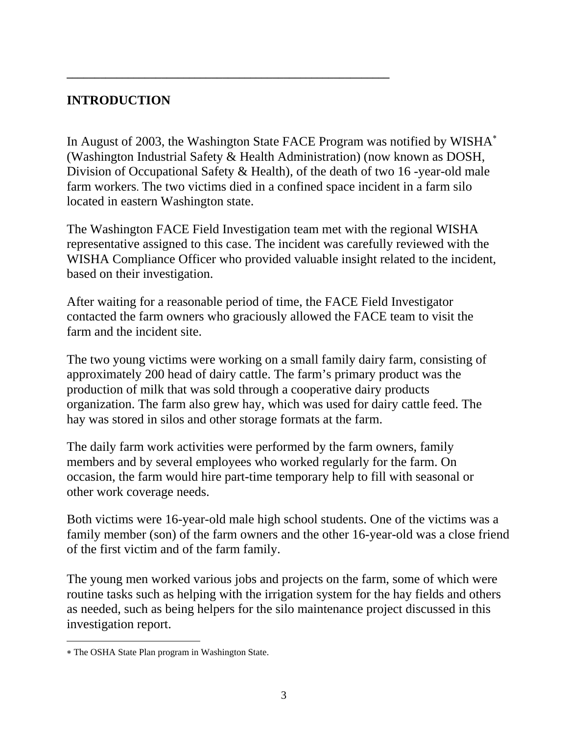# **INTRODUCTION**

In August of 2003, the Washington State FACE Program was notified by WISHA<sup>\*</sup> (Washington Industrial Safety & Health Administration) (now known as DOSH, Division of Occupational Safety & Health), of the death of two 16 -year-old male farm workers. The two victims died in a confined space incident in a farm silo located in eastern Washington state.

**\_\_\_\_\_\_\_\_\_\_\_\_\_\_\_\_\_\_\_\_\_\_\_\_\_\_\_\_\_\_\_\_\_\_\_\_\_\_\_\_\_\_\_\_\_\_\_\_\_\_\_\_\_\_\_\_\_\_** 

The Washington FACE Field Investigation team met with the regional WISHA representative assigned to this case. The incident was carefully reviewed with the WISHA Compliance Officer who provided valuable insight related to the incident, based on their investigation.

After waiting for a reasonable period of time, the FACE Field Investigator contacted the farm owners who graciously allowed the FACE team to visit the farm and the incident site.

The two young victims were working on a small family dairy farm, consisting of approximately 200 head of dairy cattle. The farm's primary product was the production of milk that was sold through a cooperative dairy products organization. The farm also grew hay, which was used for dairy cattle feed. The hay was stored in silos and other storage formats at the farm.

The daily farm work activities were performed by the farm owners, family members and by several employees who worked regularly for the farm. On occasion, the farm would hire part-time temporary help to fill with seasonal or other work coverage needs.

Both victims were 16-year-old male high school students. One of the victims was a family member (son) of the farm owners and the other 16-year-old was a close friend of the first victim and of the farm family.

The young men worked various jobs and projects on the farm, some of which were routine tasks such as helping with the irrigation system for the hay fields and others as needed, such as being helpers for the silo maintenance project discussed in this investigation report.

 $\overline{a}$ 

<sup>∗</sup> The OSHA State Plan program in Washington State.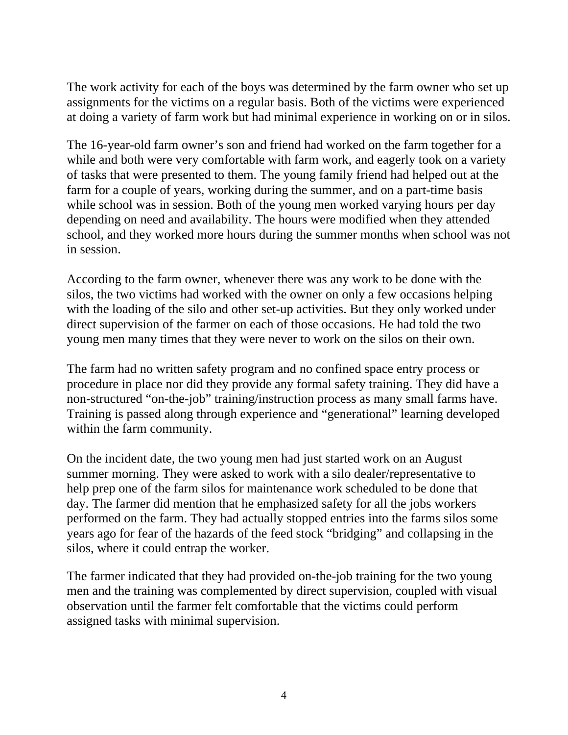The work activity for each of the boys was determined by the farm owner who set up assignments for the victims on a regular basis. Both of the victims were experienced at doing a variety of farm work but had minimal experience in working on or in silos.

in session. The 16-year-old farm owner's son and friend had worked on the farm together for a while and both were very comfortable with farm work, and eagerly took on a variety of tasks that were presented to them. The young family friend had helped out at the farm for a couple of years, working during the summer, and on a part-time basis while school was in session. Both of the young men worked varying hours per day depending on need and availability. The hours were modified when they attended school, and they worked more hours during the summer months when school was not

According to the farm owner, whenever there was any work to be done with the silos, the two victims had worked with the owner on only a few occasions helping with the loading of the silo and other set-up activities. But they only worked under direct supervision of the farmer on each of those occasions. He had told the two young men many times that they were never to work on the silos on their own.

The farm had no written safety program and no confined space entry process or procedure in place nor did they provide any formal safety training. They did have a non-structured "on-the-job" training/instruction process as many small farms have. Training is passed along through experience and "generational" learning developed within the farm community.

On the incident date, the two young men had just started work on an August summer morning. They were asked to work with a silo dealer/representative to help prep one of the farm silos for maintenance work scheduled to be done that day. The farmer did mention that he emphasized safety for all the jobs workers performed on the farm. They had actually stopped entries into the farms silos some years ago for fear of the hazards of the feed stock "bridging" and collapsing in the silos, where it could entrap the worker.

The farmer indicated that they had provided on-the-job training for the two young men and the training was complemented by direct supervision, coupled with visual observation until the farmer felt comfortable that the victims could perform assigned tasks with minimal supervision.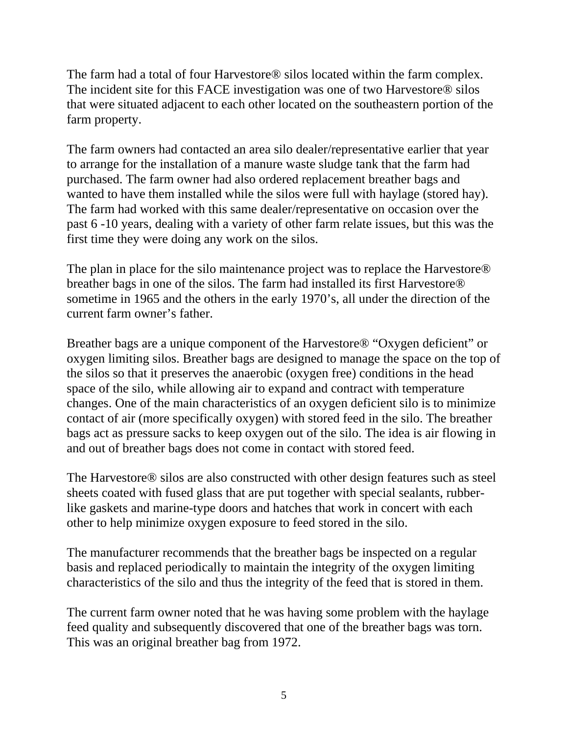The farm had a total of four Harvestore® silos located within the farm complex. The incident site for this FACE investigation was one of two Harvestore® silos that were situated adjacent to each other located on the southeastern portion of the farm property.

The farm owners had contacted an area silo dealer/representative earlier that year to arrange for the installation of a manure waste sludge tank that the farm had purchased. The farm owner had also ordered replacement breather bags and wanted to have them installed while the silos were full with haylage (stored hay). The farm had worked with this same dealer/representative on occasion over the past 6 -10 years, dealing with a variety of other farm relate issues, but this was the first time they were doing any work on the silos.

The plan in place for the silo maintenance project was to replace the Harvestore® breather bags in one of the silos. The farm had installed its first Harvestore® sometime in 1965 and the others in the early 1970's, all under the direction of the current farm owner's father.

Breather bags are a unique component of the Harvestore® "Oxygen deficient" or oxygen limiting silos. Breather bags are designed to manage the space on the top of the silos so that it preserves the anaerobic (oxygen free) conditions in the head space of the silo, while allowing air to expand and contract with temperature changes. One of the main characteristics of an oxygen deficient silo is to minimize contact of air (more specifically oxygen) with stored feed in the silo. The breather bags act as pressure sacks to keep oxygen out of the silo. The idea is air flowing in and out of breather bags does not come in contact with stored feed.

The Harvestore® silos are also constructed with other design features such as steel sheets coated with fused glass that are put together with special sealants, rubberlike gaskets and marine-type doors and hatches that work in concert with each other to help minimize oxygen exposure to feed stored in the silo.

The manufacturer recommends that the breather bags be inspected on a regular basis and replaced periodically to maintain the integrity of the oxygen limiting characteristics of the silo and thus the integrity of the feed that is stored in them.

The current farm owner noted that he was having some problem with the haylage feed quality and subsequently discovered that one of the breather bags was torn. This was an original breather bag from 1972.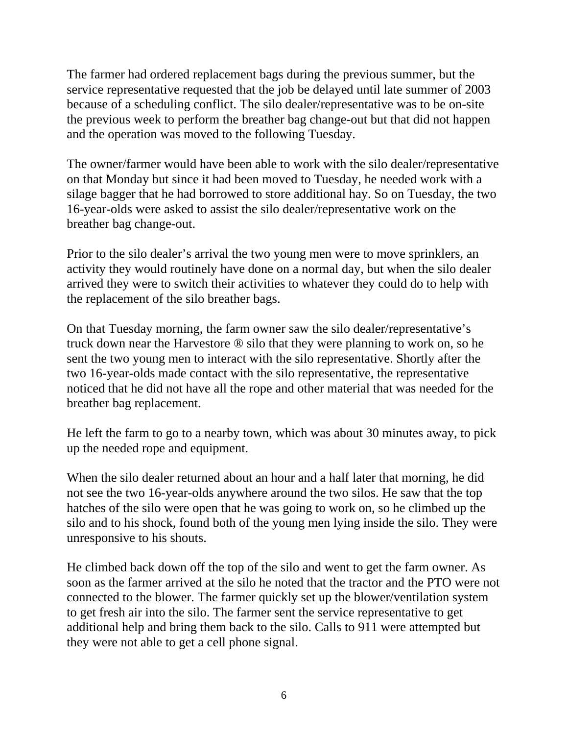The farmer had ordered replacement bags during the previous summer, but the service representative requested that the job be delayed until late summer of 2003 because of a scheduling conflict. The silo dealer/representative was to be on-site the previous week to perform the breather bag change-out but that did not happen and the operation was moved to the following Tuesday.

The owner/farmer would have been able to work with the silo dealer/representative on that Monday but since it had been moved to Tuesday, he needed work with a silage bagger that he had borrowed to store additional hay. So on Tuesday, the two 16-year-olds were asked to assist the silo dealer/representative work on the breather bag change-out.

Prior to the silo dealer's arrival the two young men were to move sprinklers, an activity they would routinely have done on a normal day, but when the silo dealer arrived they were to switch their activities to whatever they could do to help with the replacement of the silo breather bags.

On that Tuesday morning, the farm owner saw the silo dealer/representative's truck down near the Harvestore ® silo that they were planning to work on, so he sent the two young men to interact with the silo representative. Shortly after the two 16-year-olds made contact with the silo representative, the representative noticed that he did not have all the rope and other material that was needed for the breather bag replacement.

He left the farm to go to a nearby town, which was about 30 minutes away, to pick up the needed rope and equipment.

When the silo dealer returned about an hour and a half later that morning, he did not see the two 16-year-olds anywhere around the two silos. He saw that the top hatches of the silo were open that he was going to work on, so he climbed up the silo and to his shock, found both of the young men lying inside the silo. They were unresponsive to his shouts.

He climbed back down off the top of the silo and went to get the farm owner. As soon as the farmer arrived at the silo he noted that the tractor and the PTO were not connected to the blower. The farmer quickly set up the blower/ventilation system to get fresh air into the silo. The farmer sent the service representative to get additional help and bring them back to the silo. Calls to 911 were attempted but they were not able to get a cell phone signal.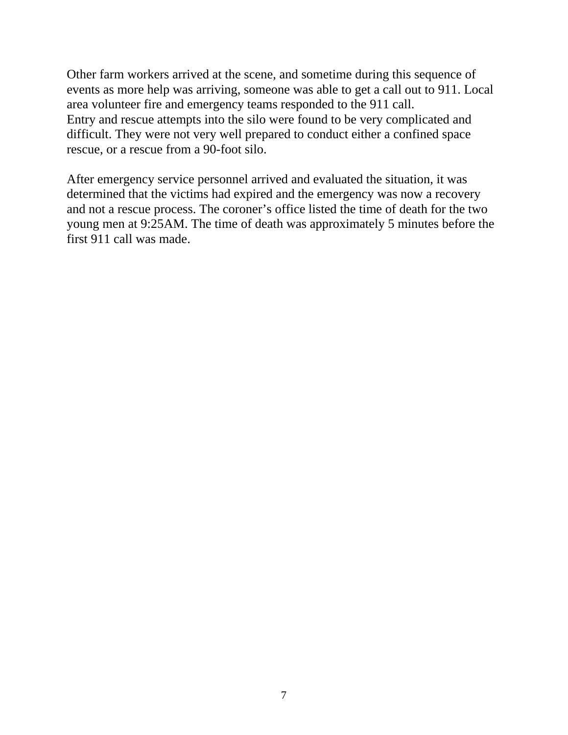Other farm workers arrived at the scene, and sometime during this sequence of events as more help was arriving, someone was able to get a call out to 911. Local area volunteer fire and emergency teams responded to the 911 call. Entry and rescue attempts into the silo were found to be very complicated and difficult. They were not very well prepared to conduct either a confined space rescue, or a rescue from a 90-foot silo.

After emergency service personnel arrived and evaluated the situation, it was determined that the victims had expired and the emergency was now a recovery and not a rescue process. The coroner's office listed the time of death for the two young men at 9:25AM. The time of death was approximately 5 minutes before the first 911 call was made.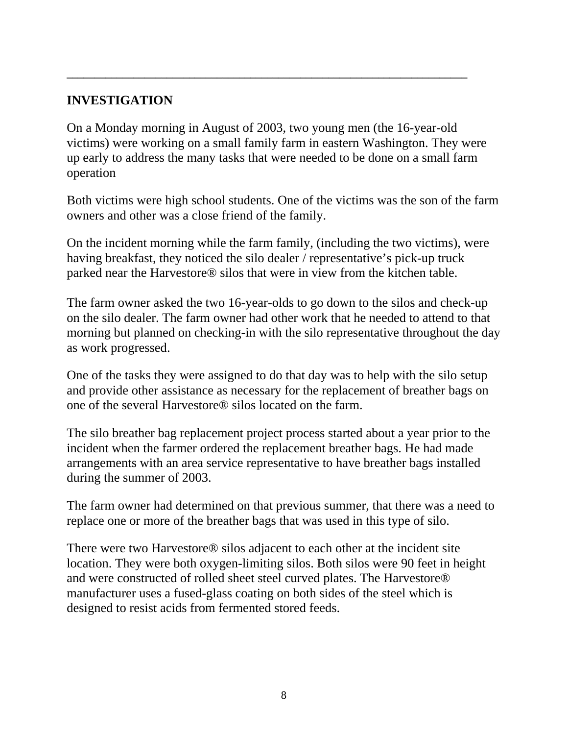### **INVESTIGATION**

On a Monday morning in August of 2003, two young men (the 16-year-old victims) were working on a small family farm in eastern Washington. They were up early to address the many tasks that were needed to be done on a small farm operation

**\_\_\_\_\_\_\_\_\_\_\_\_\_\_\_\_\_\_\_\_\_\_\_\_\_\_\_\_\_\_\_\_\_\_\_\_\_\_\_\_\_\_\_\_\_\_\_\_\_\_\_\_\_\_\_\_\_\_\_\_\_\_\_\_\_\_\_\_\_\_\_\_** 

Both victims were high school students. One of the victims was the son of the farm owners and other was a close friend of the family.

On the incident morning while the farm family, (including the two victims), were having breakfast, they noticed the silo dealer / representative's pick-up truck parked near the Harvestore® silos that were in view from the kitchen table.

The farm owner asked the two 16-year-olds to go down to the silos and check-up on the silo dealer. The farm owner had other work that he needed to attend to that morning but planned on checking-in with the silo representative throughout the day as work progressed.

One of the tasks they were assigned to do that day was to help with the silo setup and provide other assistance as necessary for the replacement of breather bags on one of the several Harvestore® silos located on the farm.

The silo breather bag replacement project process started about a year prior to the incident when the farmer ordered the replacement breather bags. He had made arrangements with an area service representative to have breather bags installed during the summer of 2003.

The farm owner had determined on that previous summer, that there was a need to replace one or more of the breather bags that was used in this type of silo.

There were two Harvestore® silos adjacent to each other at the incident site location. They were both oxygen-limiting silos. Both silos were 90 feet in height and were constructed of rolled sheet steel curved plates. The Harvestore® manufacturer uses a fused-glass coating on both sides of the steel which is designed to resist acids from fermented stored feeds.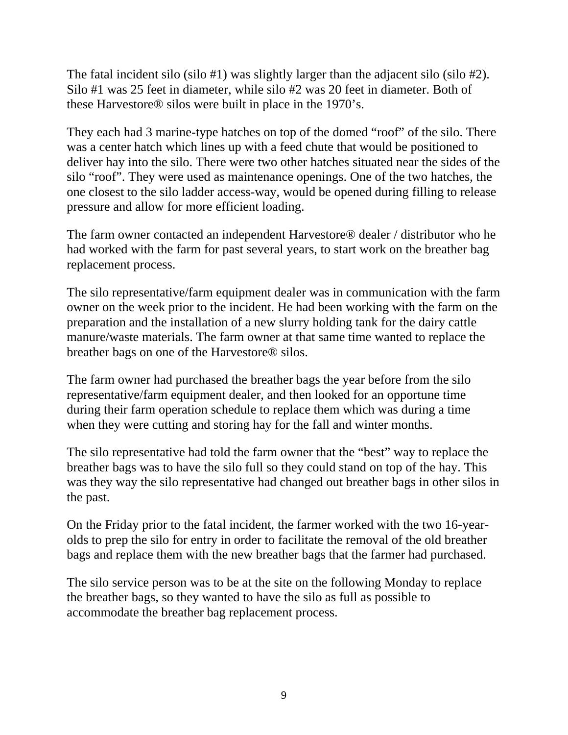The fatal incident silo (silo #1) was slightly larger than the adjacent silo (silo #2). Silo #1 was 25 feet in diameter, while silo #2 was 20 feet in diameter. Both of these Harvestore® silos were built in place in the 1970's.

They each had 3 marine-type hatches on top of the domed "roof" of the silo. There was a center hatch which lines up with a feed chute that would be positioned to deliver hay into the silo. There were two other hatches situated near the sides of the silo "roof". They were used as maintenance openings. One of the two hatches, the one closest to the silo ladder access-way, would be opened during filling to release pressure and allow for more efficient loading.

The farm owner contacted an independent Harvestore® dealer / distributor who he had worked with the farm for past several years, to start work on the breather bag replacement process.

The silo representative/farm equipment dealer was in communication with the farm owner on the week prior to the incident. He had been working with the farm on the preparation and the installation of a new slurry holding tank for the dairy cattle manure/waste materials. The farm owner at that same time wanted to replace the breather bags on one of the Harvestore® silos.

The farm owner had purchased the breather bags the year before from the silo representative/farm equipment dealer, and then looked for an opportune time during their farm operation schedule to replace them which was during a time when they were cutting and storing hay for the fall and winter months.

The silo representative had told the farm owner that the "best" way to replace the breather bags was to have the silo full so they could stand on top of the hay. This was they way the silo representative had changed out breather bags in other silos in the past.

On the Friday prior to the fatal incident, the farmer worked with the two 16-yearolds to prep the silo for entry in order to facilitate the removal of the old breather bags and replace them with the new breather bags that the farmer had purchased.

The silo service person was to be at the site on the following Monday to replace the breather bags, so they wanted to have the silo as full as possible to accommodate the breather bag replacement process.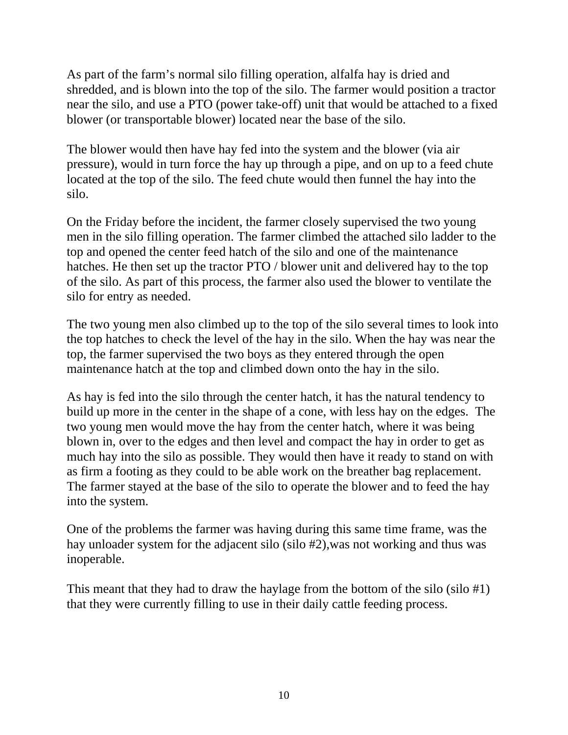As part of the farm's normal silo filling operation, alfalfa hay is dried and shredded, and is blown into the top of the silo. The farmer would position a tractor near the silo, and use a PTO (power take-off) unit that would be attached to a fixed blower (or transportable blower) located near the base of the silo.

The blower would then have hay fed into the system and the blower (via air pressure), would in turn force the hay up through a pipe, and on up to a feed chute located at the top of the silo. The feed chute would then funnel the hay into the silo.

On the Friday before the incident, the farmer closely supervised the two young men in the silo filling operation. The farmer climbed the attached silo ladder to the top and opened the center feed hatch of the silo and one of the maintenance hatches. He then set up the tractor PTO / blower unit and delivered hay to the top of the silo. As part of this process, the farmer also used the blower to ventilate the silo for entry as needed.

The two young men also climbed up to the top of the silo several times to look into the top hatches to check the level of the hay in the silo. When the hay was near the top, the farmer supervised the two boys as they entered through the open maintenance hatch at the top and climbed down onto the hay in the silo.

As hay is fed into the silo through the center hatch, it has the natural tendency to build up more in the center in the shape of a cone, with less hay on the edges. The two young men would move the hay from the center hatch, where it was being blown in, over to the edges and then level and compact the hay in order to get as much hay into the silo as possible. They would then have it ready to stand on with as firm a footing as they could to be able work on the breather bag replacement. The farmer stayed at the base of the silo to operate the blower and to feed the hay into the system.

One of the problems the farmer was having during this same time frame, was the hay unloader system for the adjacent silo (silo #2),was not working and thus was inoperable.

This meant that they had to draw the haylage from the bottom of the silo (silo #1) that they were currently filling to use in their daily cattle feeding process.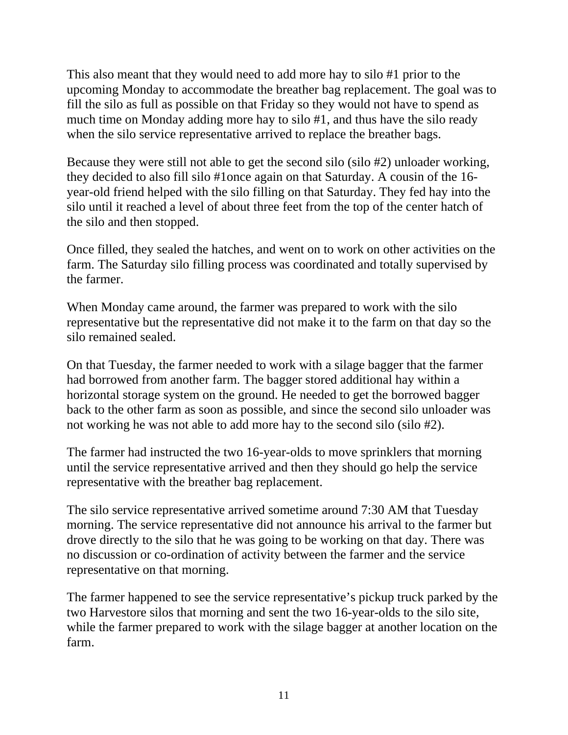This also meant that they would need to add more hay to silo #1 prior to the upcoming Monday to accommodate the breather bag replacement. The goal was to fill the silo as full as possible on that Friday so they would not have to spend as much time on Monday adding more hay to silo #1, and thus have the silo ready when the silo service representative arrived to replace the breather bags.

Because they were still not able to get the second silo (silo #2) unloader working, they decided to also fill silo #1once again on that Saturday. A cousin of the 16 year-old friend helped with the silo filling on that Saturday. They fed hay into the silo until it reached a level of about three feet from the top of the center hatch of the silo and then stopped.

Once filled, they sealed the hatches, and went on to work on other activities on the farm. The Saturday silo filling process was coordinated and totally supervised by the farmer.

When Monday came around, the farmer was prepared to work with the silo representative but the representative did not make it to the farm on that day so the silo remained sealed.

On that Tuesday, the farmer needed to work with a silage bagger that the farmer had borrowed from another farm. The bagger stored additional hay within a horizontal storage system on the ground. He needed to get the borrowed bagger back to the other farm as soon as possible, and since the second silo unloader was not working he was not able to add more hay to the second silo (silo #2).

The farmer had instructed the two 16-year-olds to move sprinklers that morning until the service representative arrived and then they should go help the service representative with the breather bag replacement.

The silo service representative arrived sometime around 7:30 AM that Tuesday morning. The service representative did not announce his arrival to the farmer but drove directly to the silo that he was going to be working on that day. There was no discussion or co-ordination of activity between the farmer and the service representative on that morning.

The farmer happened to see the service representative's pickup truck parked by the two Harvestore silos that morning and sent the two 16-year-olds to the silo site, while the farmer prepared to work with the silage bagger at another location on the farm.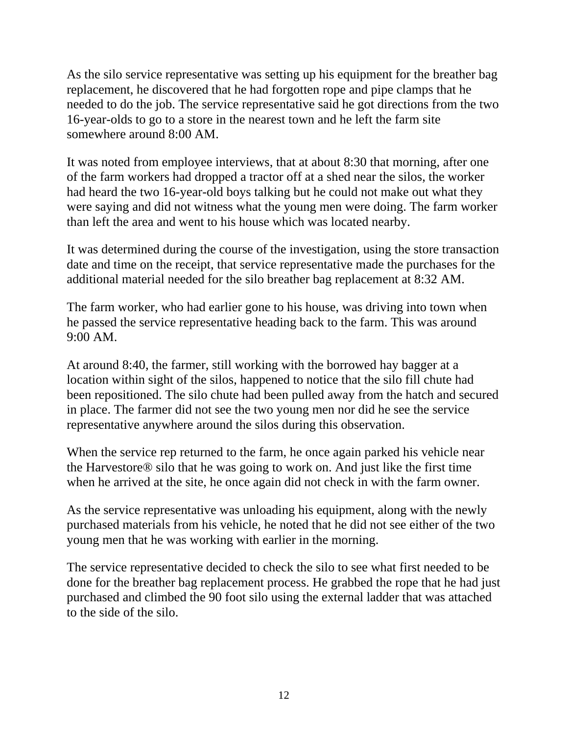As the silo service representative was setting up his equipment for the breather bag replacement, he discovered that he had forgotten rope and pipe clamps that he needed to do the job. The service representative said he got directions from the two 16-year-olds to go to a store in the nearest town and he left the farm site somewhere around 8:00 AM.

It was noted from employee interviews, that at about 8:30 that morning, after one of the farm workers had dropped a tractor off at a shed near the silos, the worker had heard the two 16-year-old boys talking but he could not make out what they were saying and did not witness what the young men were doing. The farm worker than left the area and went to his house which was located nearby.

It was determined during the course of the investigation, using the store transaction date and time on the receipt, that service representative made the purchases for the additional material needed for the silo breather bag replacement at 8:32 AM.

The farm worker, who had earlier gone to his house, was driving into town when he passed the service representative heading back to the farm. This was around 9:00 AM.

At around 8:40, the farmer, still working with the borrowed hay bagger at a location within sight of the silos, happened to notice that the silo fill chute had been repositioned. The silo chute had been pulled away from the hatch and secured in place. The farmer did not see the two young men nor did he see the service representative anywhere around the silos during this observation.

When the service rep returned to the farm, he once again parked his vehicle near the Harvestore® silo that he was going to work on. And just like the first time when he arrived at the site, he once again did not check in with the farm owner.

As the service representative was unloading his equipment, along with the newly purchased materials from his vehicle, he noted that he did not see either of the two young men that he was working with earlier in the morning.

The service representative decided to check the silo to see what first needed to be done for the breather bag replacement process. He grabbed the rope that he had just purchased and climbed the 90 foot silo using the external ladder that was attached to the side of the silo.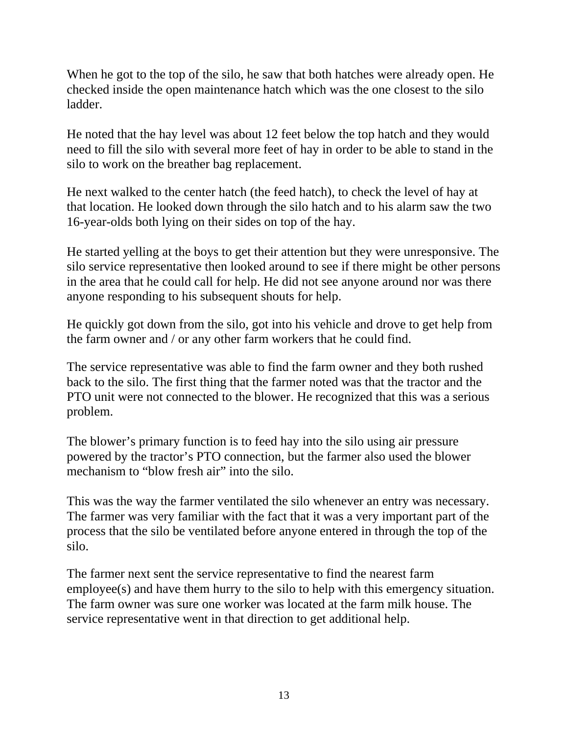When he got to the top of the silo, he saw that both hatches were already open. He checked inside the open maintenance hatch which was the one closest to the silo ladder.

He noted that the hay level was about 12 feet below the top hatch and they would need to fill the silo with several more feet of hay in order to be able to stand in the silo to work on the breather bag replacement.

He next walked to the center hatch (the feed hatch), to check the level of hay at that location. He looked down through the silo hatch and to his alarm saw the two 16-year-olds both lying on their sides on top of the hay.

He started yelling at the boys to get their attention but they were unresponsive. The silo service representative then looked around to see if there might be other persons in the area that he could call for help. He did not see anyone around nor was there anyone responding to his subsequent shouts for help.

He quickly got down from the silo, got into his vehicle and drove to get help from the farm owner and / or any other farm workers that he could find.

The service representative was able to find the farm owner and they both rushed back to the silo. The first thing that the farmer noted was that the tractor and the PTO unit were not connected to the blower. He recognized that this was a serious problem.

The blower's primary function is to feed hay into the silo using air pressure powered by the tractor's PTO connection, but the farmer also used the blower mechanism to "blow fresh air" into the silo.

This was the way the farmer ventilated the silo whenever an entry was necessary. The farmer was very familiar with the fact that it was a very important part of the process that the silo be ventilated before anyone entered in through the top of the silo.

The farmer next sent the service representative to find the nearest farm employee(s) and have them hurry to the silo to help with this emergency situation. The farm owner was sure one worker was located at the farm milk house. The service representative went in that direction to get additional help.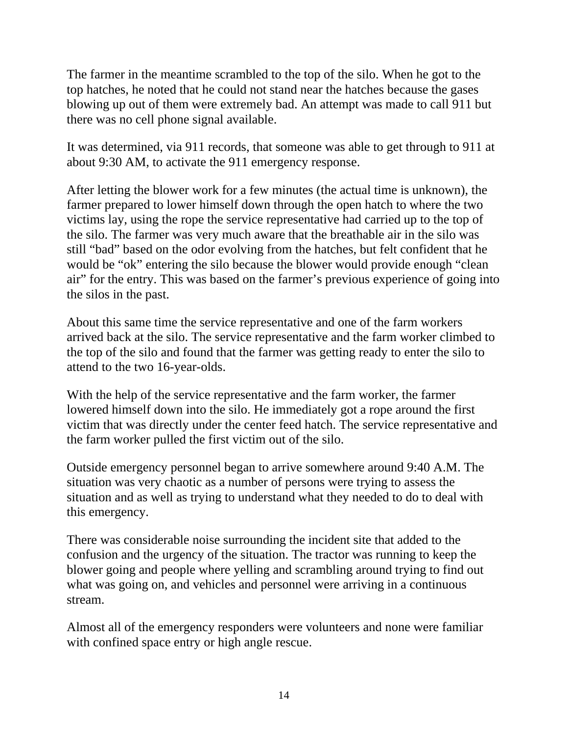The farmer in the meantime scrambled to the top of the silo. When he got to the top hatches, he noted that he could not stand near the hatches because the gases blowing up out of them were extremely bad. An attempt was made to call 911 but there was no cell phone signal available.

It was determined, via 911 records, that someone was able to get through to 911 at about 9:30 AM, to activate the 911 emergency response.

After letting the blower work for a few minutes (the actual time is unknown), the farmer prepared to lower himself down through the open hatch to where the two victims lay, using the rope the service representative had carried up to the top of the silo. The farmer was very much aware that the breathable air in the silo was still "bad" based on the odor evolving from the hatches, but felt confident that he would be "ok" entering the silo because the blower would provide enough "clean air" for the entry. This was based on the farmer's previous experience of going into the silos in the past.

About this same time the service representative and one of the farm workers arrived back at the silo. The service representative and the farm worker climbed to the top of the silo and found that the farmer was getting ready to enter the silo to attend to the two 16-year-olds.

With the help of the service representative and the farm worker, the farmer lowered himself down into the silo. He immediately got a rope around the first victim that was directly under the center feed hatch. The service representative and the farm worker pulled the first victim out of the silo.

Outside emergency personnel began to arrive somewhere around 9:40 A.M. The situation was very chaotic as a number of persons were trying to assess the situation and as well as trying to understand what they needed to do to deal with this emergency.

There was considerable noise surrounding the incident site that added to the confusion and the urgency of the situation. The tractor was running to keep the blower going and people where yelling and scrambling around trying to find out what was going on, and vehicles and personnel were arriving in a continuous stream.

Almost all of the emergency responders were volunteers and none were familiar with confined space entry or high angle rescue.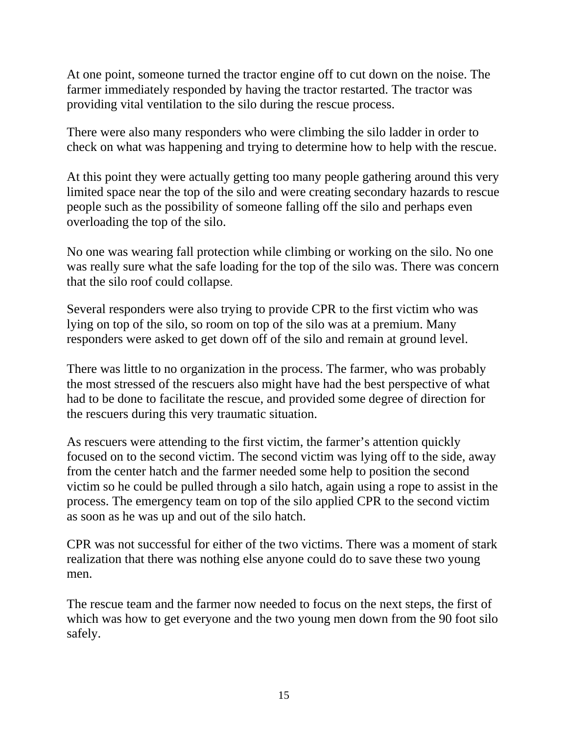At one point, someone turned the tractor engine off to cut down on the noise. The farmer immediately responded by having the tractor restarted. The tractor was providing vital ventilation to the silo during the rescue process.

There were also many responders who were climbing the silo ladder in order to check on what was happening and trying to determine how to help with the rescue.

At this point they were actually getting too many people gathering around this very limited space near the top of the silo and were creating secondary hazards to rescue people such as the possibility of someone falling off the silo and perhaps even overloading the top of the silo.

No one was wearing fall protection while climbing or working on the silo. No one was really sure what the safe loading for the top of the silo was. There was concern that the silo roof could collapse.

Several responders were also trying to provide CPR to the first victim who was lying on top of the silo, so room on top of the silo was at a premium. Many responders were asked to get down off of the silo and remain at ground level.

There was little to no organization in the process. The farmer, who was probably the most stressed of the rescuers also might have had the best perspective of what had to be done to facilitate the rescue, and provided some degree of direction for the rescuers during this very traumatic situation.

As rescuers were attending to the first victim, the farmer's attention quickly focused on to the second victim. The second victim was lying off to the side, away from the center hatch and the farmer needed some help to position the second victim so he could be pulled through a silo hatch, again using a rope to assist in the process. The emergency team on top of the silo applied CPR to the second victim as soon as he was up and out of the silo hatch.

CPR was not successful for either of the two victims. There was a moment of stark realization that there was nothing else anyone could do to save these two young men.

The rescue team and the farmer now needed to focus on the next steps, the first of which was how to get everyone and the two young men down from the 90 foot silo safely.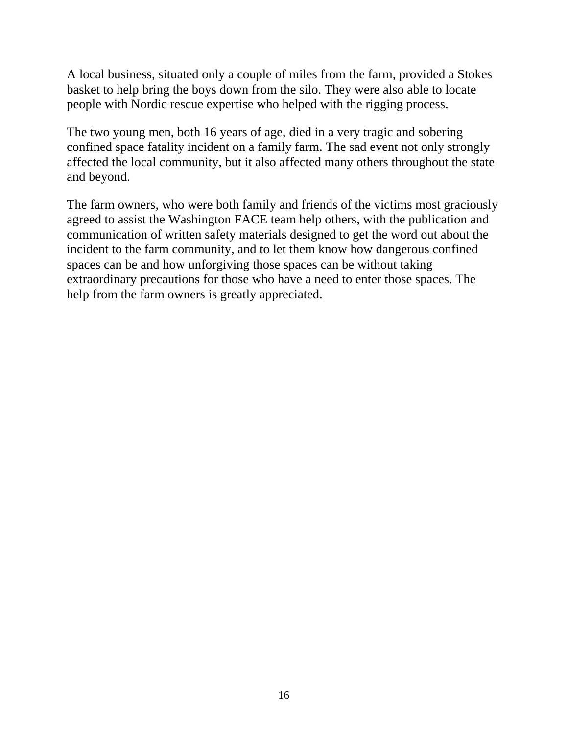A local business, situated only a couple of miles from the farm, provided a Stokes basket to help bring the boys down from the silo. They were also able to locate people with Nordic rescue expertise who helped with the rigging process.

The two young men, both 16 years of age, died in a very tragic and sobering confined space fatality incident on a family farm. The sad event not only strongly affected the local community, but it also affected many others throughout the state and beyond.

The farm owners, who were both family and friends of the victims most graciously agreed to assist the Washington FACE team help others, with the publication and communication of written safety materials designed to get the word out about the incident to the farm community, and to let them know how dangerous confined spaces can be and how unforgiving those spaces can be without taking extraordinary precautions for those who have a need to enter those spaces. The help from the farm owners is greatly appreciated.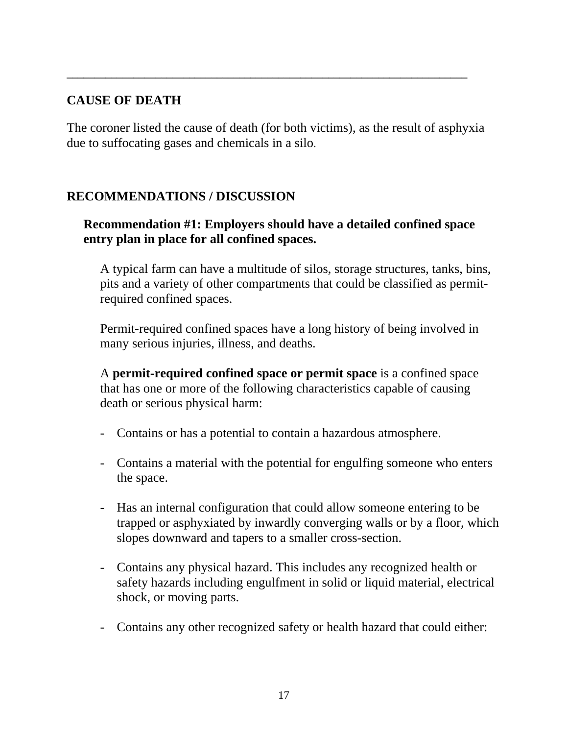#### **CAUSE OF DEATH**

The coroner listed the cause of death (for both victims), as the result of asphyxia due to suffocating gases and chemicals in a silo.

**\_\_\_\_\_\_\_\_\_\_\_\_\_\_\_\_\_\_\_\_\_\_\_\_\_\_\_\_\_\_\_\_\_\_\_\_\_\_\_\_\_\_\_\_\_\_\_\_\_\_\_\_\_\_\_\_\_\_\_\_\_\_\_\_\_\_\_\_\_\_\_\_** 

#### **RECOMMENDATIONS / DISCUSSION**

### **Recommendation #1: Employers should have a detailed confined space entry plan in place for all confined spaces.**

A typical farm can have a multitude of silos, storage structures, tanks, bins, pits and a variety of other compartments that could be classified as permitrequired confined spaces.

Permit-required confined spaces have a long history of being involved in many serious injuries, illness, and deaths.

A **permit-required confined space or permit space** is a confined space that has one or more of the following characteristics capable of causing death or serious physical harm:

- Contains or has a potential to contain a hazardous atmosphere.
- Contains a material with the potential for engulfing someone who enters the space.
- Has an internal configuration that could allow someone entering to be trapped or asphyxiated by inwardly converging walls or by a floor, which slopes downward and tapers to a smaller cross-section.
- Contains any physical hazard. This includes any recognized health or safety hazards including engulfment in solid or liquid material, electrical shock, or moving parts.
- Contains any other recognized safety or health hazard that could either: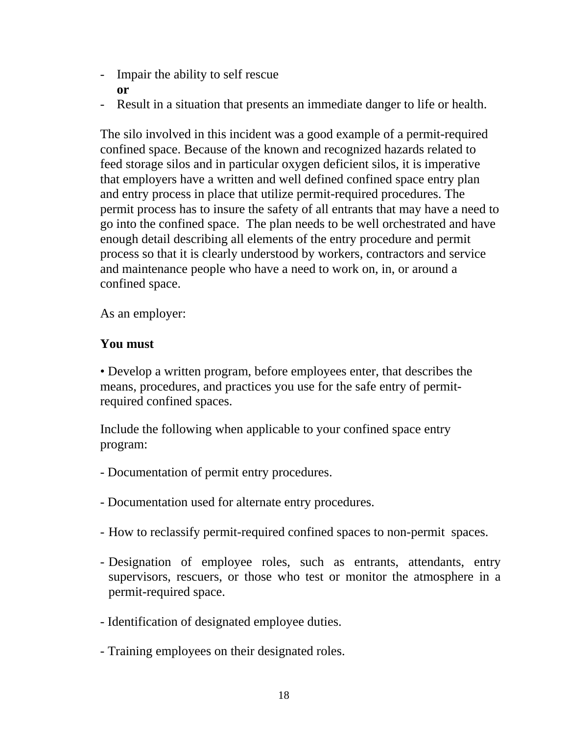- Impair the ability to self rescue **or**
- Result in a situation that presents an immediate danger to life or health.

The silo involved in this incident was a good example of a permit-required confined space. Because of the known and recognized hazards related to feed storage silos and in particular oxygen deficient silos, it is imperative that employers have a written and well defined confined space entry plan and entry process in place that utilize permit-required procedures. The permit process has to insure the safety of all entrants that may have a need to go into the confined space. The plan needs to be well orchestrated and have enough detail describing all elements of the entry procedure and permit process so that it is clearly understood by workers, contractors and service and maintenance people who have a need to work on, in, or around a confined space.

As an employer:

# **You must**

• Develop a written program, before employees enter, that describes the means, procedures, and practices you use for the safe entry of permitrequired confined spaces.

Include the following when applicable to your confined space entry program:

- Documentation of permit entry procedures.
- Documentation used for alternate entry procedures.
- How to reclassify permit-required confined spaces to non-permit spaces.
- Designation of employee roles, such as entrants, attendants, entry supervisors, rescuers, or those who test or monitor the atmosphere in a permit-required space.
- Identification of designated employee duties.
- Training employees on their designated roles.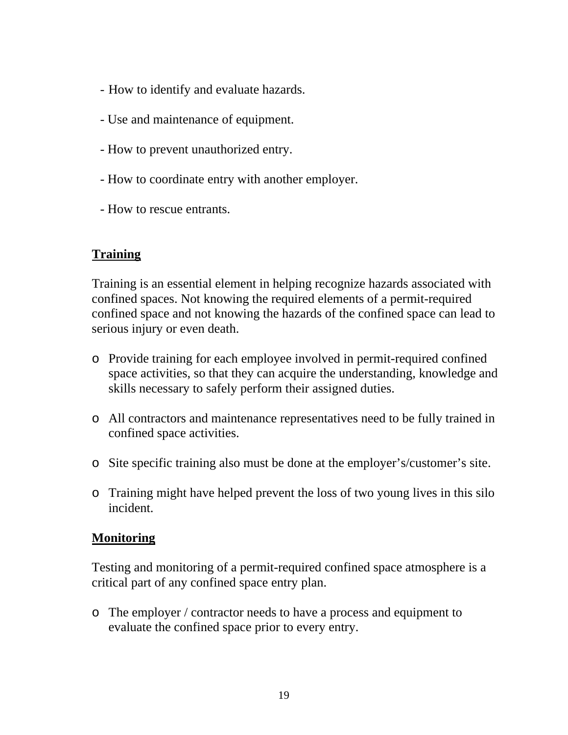- How to identify and evaluate hazards.
- Use and maintenance of equipment.
- How to prevent unauthorized entry.
- How to coordinate entry with another employer.
- How to rescue entrants.

# **Training**

Training is an essential element in helping recognize hazards associated with confined spaces. Not knowing the required elements of a permit-required confined space and not knowing the hazards of the confined space can lead to serious injury or even death.

- o Provide training for each employee involved in permit-required confined space activities, so that they can acquire the understanding, knowledge and skills necessary to safely perform their assigned duties.
- o All contractors and maintenance representatives need to be fully trained in confined space activities.
- o Site specific training also must be done at the employer's/customer's site.
- o Training might have helped prevent the loss of two young lives in this silo incident.

### **Monitoring**

Testing and monitoring of a permit-required confined space atmosphere is a critical part of any confined space entry plan.

o The employer / contractor needs to have a process and equipment to evaluate the confined space prior to every entry.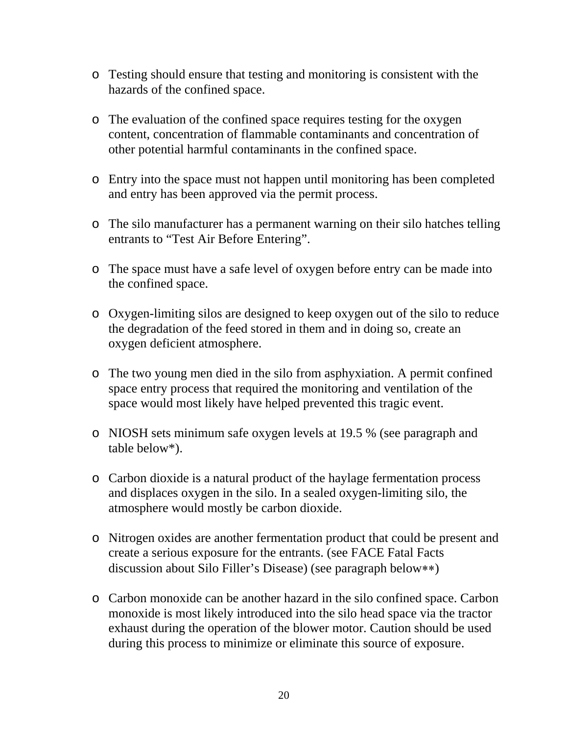- o Testing should ensure that testing and monitoring is consistent with the hazards of the confined space.
- o The evaluation of the confined space requires testing for the oxygen content, concentration of flammable contaminants and concentration of other potential harmful contaminants in the confined space.
- o Entry into the space must not happen until monitoring has been completed and entry has been approved via the permit process.
- o The silo manufacturer has a permanent warning on their silo hatches telling entrants to "Test Air Before Entering".
- o The space must have a safe level of oxygen before entry can be made into the confined space.
- o Oxygen-limiting silos are designed to keep oxygen out of the silo to reduce the degradation of the feed stored in them and in doing so, create an oxygen deficient atmosphere.
- o The two young men died in the silo from asphyxiation. A permit confined space entry process that required the monitoring and ventilation of the space would most likely have helped prevented this tragic event.
- o NIOSH sets minimum safe oxygen levels at 19.5 % (see paragraph and table below\*).
- o Carbon dioxide is a natural product of the haylage fermentation process and displaces oxygen in the silo. In a sealed oxygen-limiting silo, the atmosphere would mostly be carbon dioxide.
- o Nitrogen oxides are another fermentation product that could be present and create a serious exposure for the entrants. (see FACE Fatal Facts discussion about Silo Filler's Disease) (see paragraph below∗∗)
- o Carbon monoxide can be another hazard in the silo confined space. Carbon monoxide is most likely introduced into the silo head space via the tractor exhaust during the operation of the blower motor. Caution should be used during this process to minimize or eliminate this source of exposure.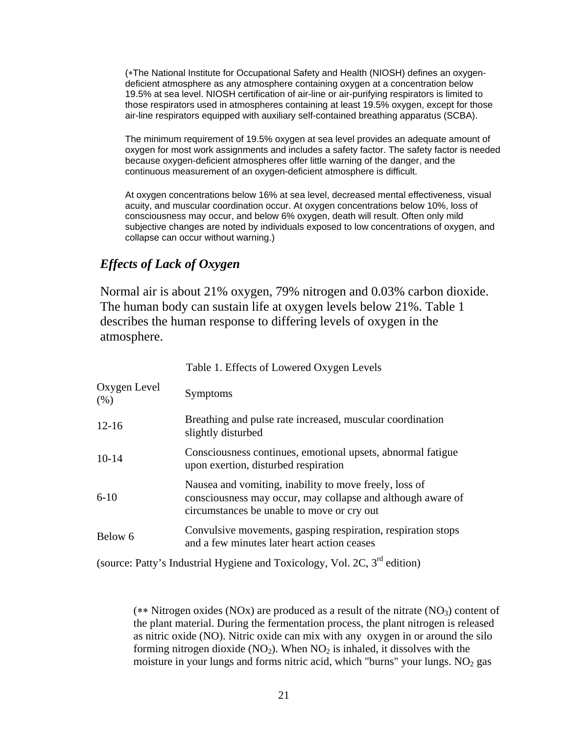(∗The National Institute for Occupational Safety and Health (NIOSH) defines an oxygendeficient atmosphere as any atmosphere containing oxygen at a concentration below 19.5% at sea level. NIOSH certification of air-line or air-purifying respirators is limited to those respirators used in atmospheres containing at least 19.5% oxygen, except for those air-line respirators equipped with auxiliary self-contained breathing apparatus (SCBA).

The minimum requirement of 19.5% oxygen at sea level provides an adequate amount of oxygen for most work assignments and includes a safety factor. The safety factor is needed because oxygen-deficient atmospheres offer little warning of the danger, and the continuous measurement of an oxygen-deficient atmosphere is difficult.

At oxygen concentrations below 16% at sea level, decreased mental effectiveness, visual acuity, and muscular coordination occur. At oxygen concentrations below 10%, loss of consciousness may occur, and below 6% oxygen, death will result. Often only mild subjective changes are noted by individuals exposed to low concentrations of oxygen, and collapse can occur without warning.)

#### *Effects of Lack of Oxygen*

Normal air is about 21% oxygen, 79% nitrogen and 0.03% carbon dioxide. The human body can sustain life at oxygen levels below 21%. Table 1 describes the human response to differing levels of oxygen in the atmosphere.

|                      | Table 1. Effects of Lowered Oxygen Levels                                                                                                                           |
|----------------------|---------------------------------------------------------------------------------------------------------------------------------------------------------------------|
| Oxygen Level<br>(% ) | Symptoms                                                                                                                                                            |
| $12 - 16$            | Breathing and pulse rate increased, muscular coordination<br>slightly disturbed                                                                                     |
| $10-14$              | Consciousness continues, emotional upsets, abnormal fatigue<br>upon exertion, disturbed respiration                                                                 |
| $6 - 10$             | Nausea and vomiting, inability to move freely, loss of<br>consciousness may occur, may collapse and although aware of<br>circumstances be unable to move or cry out |
| Below 6              | Convulsive movements, gasping respiration, respiration stops<br>and a few minutes later heart action ceases                                                         |

(source: Patty's Industrial Hygiene and Toxicology, Vol. 2C, 3rd edition)

(∗∗ Nitrogen oxides (NOx) are produced as a result of the nitrate (NO3) content of the plant material. During the fermentation process, the plant nitrogen is released as nitric oxide (NO). Nitric oxide can mix with any oxygen in or around the silo forming nitrogen dioxide  $(NO_2)$ . When  $NO_2$  is inhaled, it dissolves with the moisture in your lungs and forms nitric acid, which "burns" your lungs.  $NO<sub>2</sub>$  gas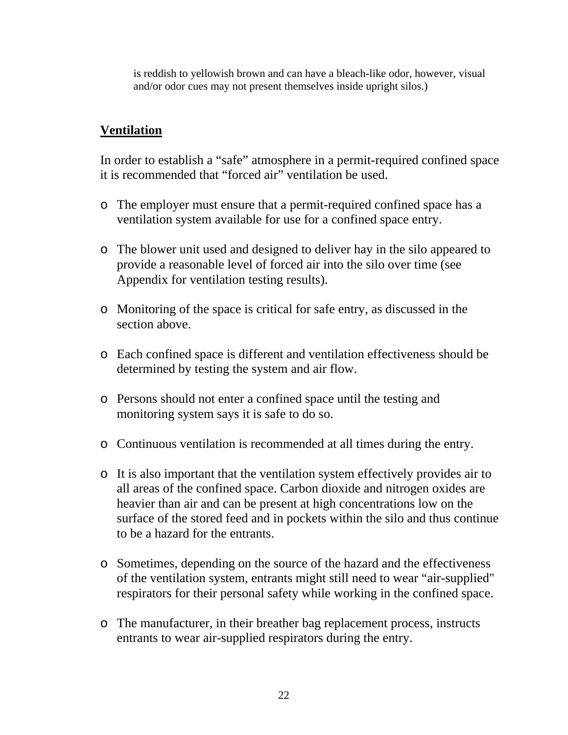is reddish to yellowish brown and can have a bleach-like odor, however, visual and/or odor cues may not present themselves inside upright silos.)

#### **Ventilation**

In order to establish a "safe" atmosphere in a permit-required confined space it is recommended that "forced air" ventilation be used.

- o The employer must ensure that a permit-required confined space has a ventilation system available for use for a confined space entry.
- o The blower unit used and designed to deliver hay in the silo appeared to provide a reasonable level of forced air into the silo over time (see Appendix for ventilation testing results).
- o Monitoring of the space is critical for safe entry, as discussed in the section above.
- o Each confined space is different and ventilation effectiveness should be determined by testing the system and air flow.
- o Persons should not enter a confined space until the testing and monitoring system says it is safe to do so.
- o Continuous ventilation is recommended at all times during the entry.
- o It is also important that the ventilation system effectively provides air to all areas of the confined space. Carbon dioxide and nitrogen oxides are heavier than air and can be present at high concentrations low on the surface of the stored feed and in pockets within the silo and thus continue to be a hazard for the entrants.
- o Sometimes, depending on the source of the hazard and the effectiveness of the ventilation system, entrants might still need to wear "air-supplied" respirators for their personal safety while working in the confined space.
- o The manufacturer, in their breather bag replacement process, instructs entrants to wear air-supplied respirators during the entry.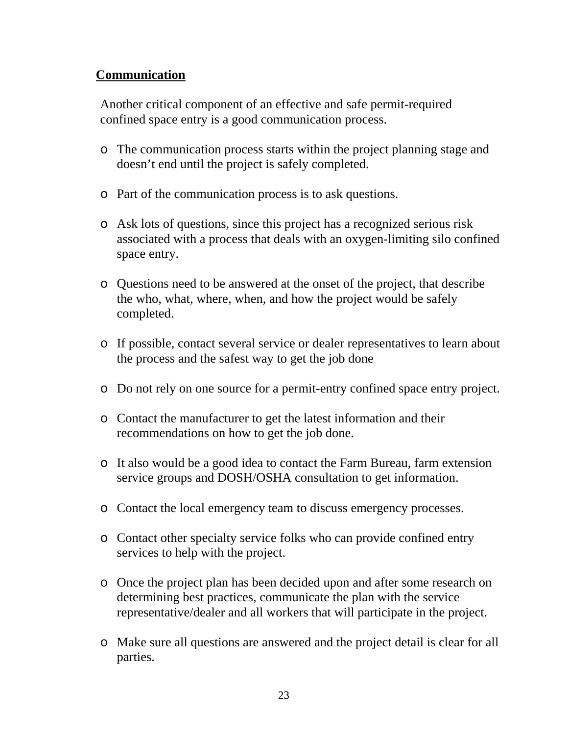### **Communication**

Another critical component of an effective and safe permit-required confined space entry is a good communication process.

- o The communication process starts within the project planning stage and doesn't end until the project is safely completed.
- o Part of the communication process is to ask questions.
- o Ask lots of questions, since this project has a recognized serious risk associated with a process that deals with an oxygen-limiting silo confined space entry.
- o Questions need to be answered at the onset of the project, that describe the who, what, where, when, and how the project would be safely completed.
- o If possible, contact several service or dealer representatives to learn about the process and the safest way to get the job done
- o Do not rely on one source for a permit-entry confined space entry project.
- o Contact the manufacturer to get the latest information and their recommendations on how to get the job done.
- o It also would be a good idea to contact the Farm Bureau, farm extension service groups and DOSH/OSHA consultation to get information.
- o Contact the local emergency team to discuss emergency processes.
- o Contact other specialty service folks who can provide confined entry services to help with the project.
- o Once the project plan has been decided upon and after some research on determining best practices, communicate the plan with the service representative/dealer and all workers that will participate in the project.
- o Make sure all questions are answered and the project detail is clear for all parties.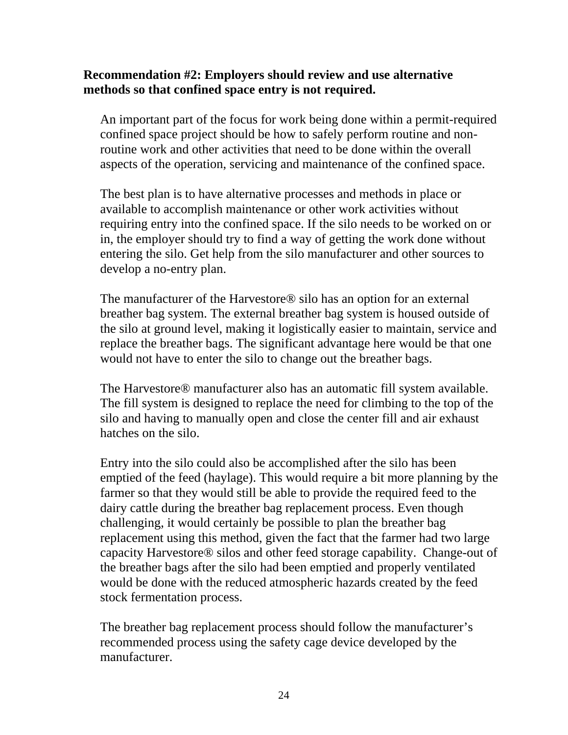#### **Recommendation #2: Employers should review and use alternative methods so that confined space entry is not required.**

An important part of the focus for work being done within a permit-required confined space project should be how to safely perform routine and nonroutine work and other activities that need to be done within the overall aspects of the operation, servicing and maintenance of the confined space.

The best plan is to have alternative processes and methods in place or available to accomplish maintenance or other work activities without requiring entry into the confined space. If the silo needs to be worked on or in, the employer should try to find a way of getting the work done without entering the silo. Get help from the silo manufacturer and other sources to develop a no-entry plan.

The manufacturer of the Harvestore® silo has an option for an external breather bag system. The external breather bag system is housed outside of the silo at ground level, making it logistically easier to maintain, service and replace the breather bags. The significant advantage here would be that one would not have to enter the silo to change out the breather bags.

The Harvestore® manufacturer also has an automatic fill system available. The fill system is designed to replace the need for climbing to the top of the silo and having to manually open and close the center fill and air exhaust hatches on the silo.

Entry into the silo could also be accomplished after the silo has been emptied of the feed (haylage). This would require a bit more planning by the farmer so that they would still be able to provide the required feed to the dairy cattle during the breather bag replacement process. Even though challenging, it would certainly be possible to plan the breather bag replacement using this method, given the fact that the farmer had two large capacity Harvestore® silos and other feed storage capability. Change-out of the breather bags after the silo had been emptied and properly ventilated would be done with the reduced atmospheric hazards created by the feed stock fermentation process.

The breather bag replacement process should follow the manufacturer's recommended process using the safety cage device developed by the manufacturer.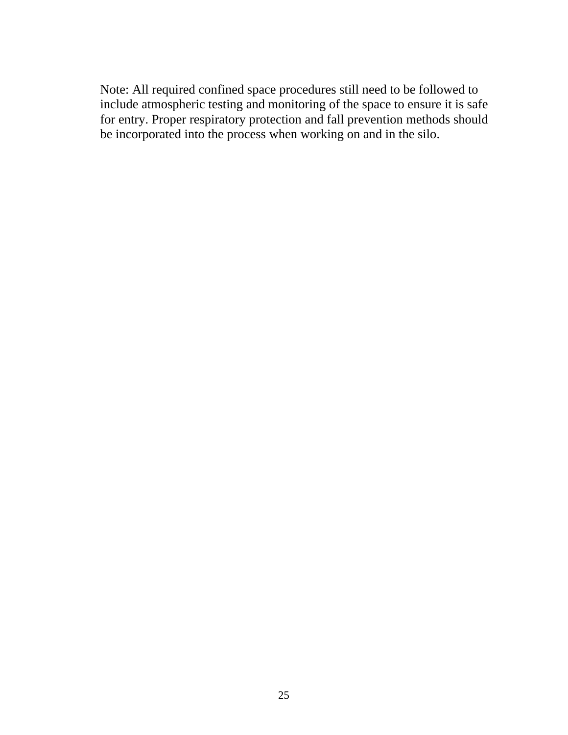Note: All required confined space procedures still need to be followed to include atmospheric testing and monitoring of the space to ensure it is safe for entry. Proper respiratory protection and fall prevention methods should be incorporated into the process when working on and in the silo.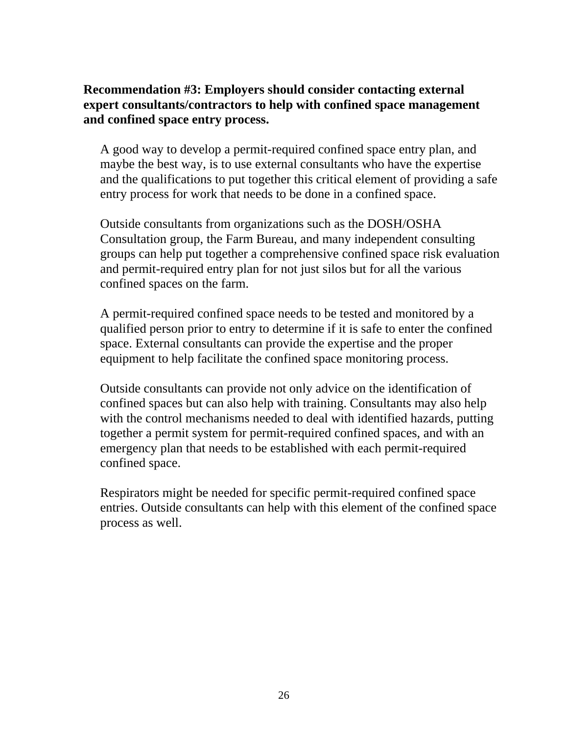#### **Recommendation #3: Employers should consider contacting external expert consultants/contractors to help with confined space management and confined space entry process.**

A good way to develop a permit-required confined space entry plan, and maybe the best way, is to use external consultants who have the expertise and the qualifications to put together this critical element of providing a safe entry process for work that needs to be done in a confined space.

Outside consultants from organizations such as the DOSH/OSHA Consultation group, the Farm Bureau, and many independent consulting groups can help put together a comprehensive confined space risk evaluation and permit-required entry plan for not just silos but for all the various confined spaces on the farm.

A permit-required confined space needs to be tested and monitored by a qualified person prior to entry to determine if it is safe to enter the confined space. External consultants can provide the expertise and the proper equipment to help facilitate the confined space monitoring process.

Outside consultants can provide not only advice on the identification of confined spaces but can also help with training. Consultants may also help with the control mechanisms needed to deal with identified hazards, putting together a permit system for permit-required confined spaces, and with an emergency plan that needs to be established with each permit-required confined space.

Respirators might be needed for specific permit-required confined space entries. Outside consultants can help with this element of the confined space process as well.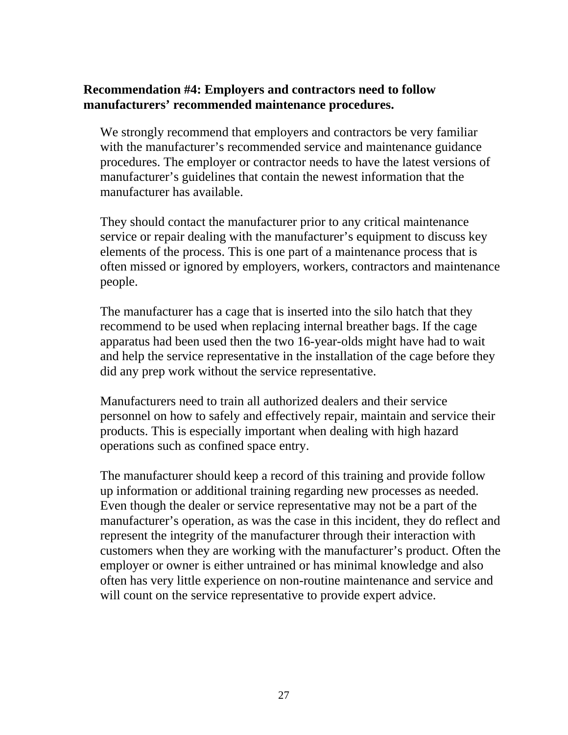#### **Recommendation #4: Employers and contractors need to follow manufacturers' recommended maintenance procedures.**

We strongly recommend that employers and contractors be very familiar with the manufacturer's recommended service and maintenance guidance procedures. The employer or contractor needs to have the latest versions of manufacturer's guidelines that contain the newest information that the manufacturer has available.

They should contact the manufacturer prior to any critical maintenance service or repair dealing with the manufacturer's equipment to discuss key elements of the process. This is one part of a maintenance process that is often missed or ignored by employers, workers, contractors and maintenance people.

The manufacturer has a cage that is inserted into the silo hatch that they recommend to be used when replacing internal breather bags. If the cage apparatus had been used then the two 16-year-olds might have had to wait and help the service representative in the installation of the cage before they did any prep work without the service representative.

Manufacturers need to train all authorized dealers and their service personnel on how to safely and effectively repair, maintain and service their products. This is especially important when dealing with high hazard operations such as confined space entry.

The manufacturer should keep a record of this training and provide follow up information or additional training regarding new processes as needed. Even though the dealer or service representative may not be a part of the manufacturer's operation, as was the case in this incident, they do reflect and represent the integrity of the manufacturer through their interaction with customers when they are working with the manufacturer's product. Often the employer or owner is either untrained or has minimal knowledge and also often has very little experience on non-routine maintenance and service and will count on the service representative to provide expert advice.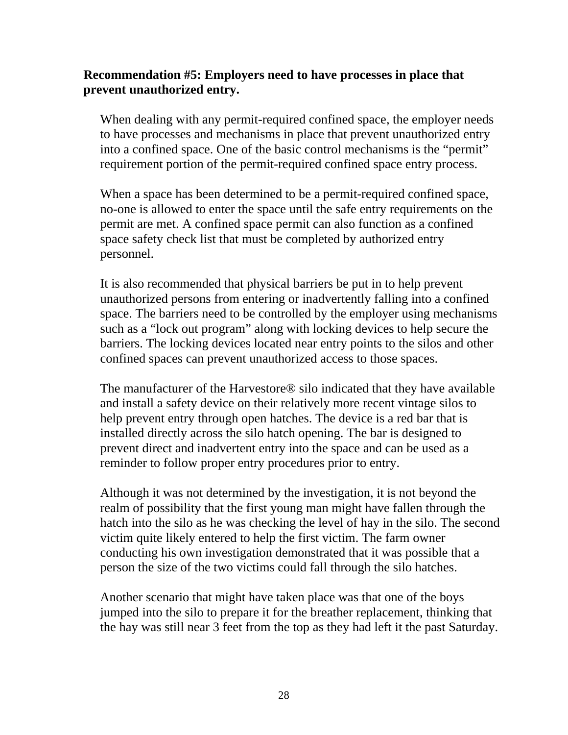#### **Recommendation #5: Employers need to have processes in place that prevent unauthorized entry.**

When dealing with any permit-required confined space, the employer needs to have processes and mechanisms in place that prevent unauthorized entry into a confined space. One of the basic control mechanisms is the "permit" requirement portion of the permit-required confined space entry process.

When a space has been determined to be a permit-required confined space, no-one is allowed to enter the space until the safe entry requirements on the permit are met. A confined space permit can also function as a confined space safety check list that must be completed by authorized entry personnel.

It is also recommended that physical barriers be put in to help prevent unauthorized persons from entering or inadvertently falling into a confined space. The barriers need to be controlled by the employer using mechanisms such as a "lock out program" along with locking devices to help secure the barriers. The locking devices located near entry points to the silos and other confined spaces can prevent unauthorized access to those spaces.

The manufacturer of the Harvestore® silo indicated that they have available and install a safety device on their relatively more recent vintage silos to help prevent entry through open hatches. The device is a red bar that is installed directly across the silo hatch opening. The bar is designed to prevent direct and inadvertent entry into the space and can be used as a reminder to follow proper entry procedures prior to entry.

Although it was not determined by the investigation, it is not beyond the realm of possibility that the first young man might have fallen through the hatch into the silo as he was checking the level of hay in the silo. The second victim quite likely entered to help the first victim. The farm owner conducting his own investigation demonstrated that it was possible that a person the size of the two victims could fall through the silo hatches.

Another scenario that might have taken place was that one of the boys jumped into the silo to prepare it for the breather replacement, thinking that the hay was still near 3 feet from the top as they had left it the past Saturday.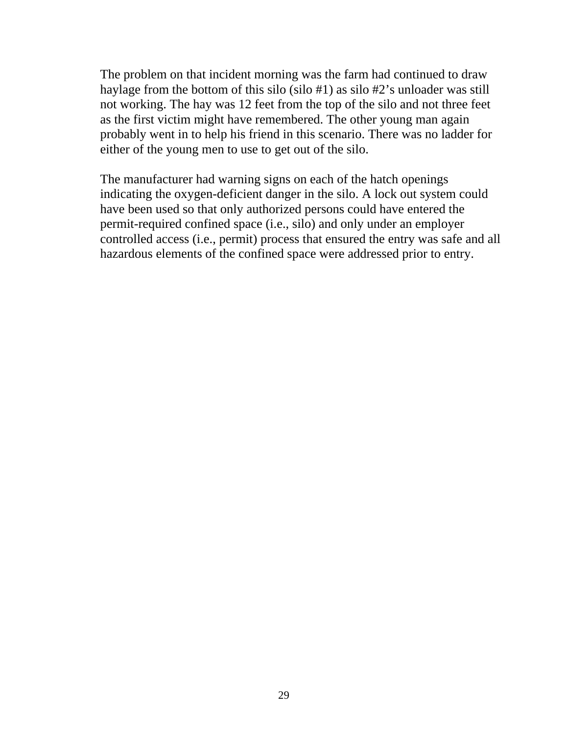The problem on that incident morning was the farm had continued to draw haylage from the bottom of this silo (silo #1) as silo #2's unloader was still not working. The hay was 12 feet from the top of the silo and not three feet as the first victim might have remembered. The other young man again probably went in to help his friend in this scenario. There was no ladder for either of the young men to use to get out of the silo.

The manufacturer had warning signs on each of the hatch openings indicating the oxygen-deficient danger in the silo. A lock out system could have been used so that only authorized persons could have entered the permit-required confined space (i.e., silo) and only under an employer controlled access (i.e., permit) process that ensured the entry was safe and all hazardous elements of the confined space were addressed prior to entry.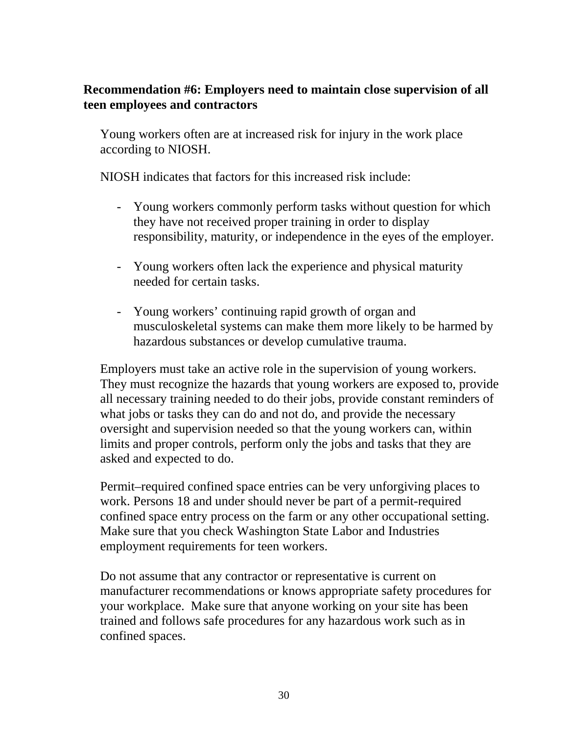#### **Recommendation #6: Employers need to maintain close supervision of all teen employees and contractors**

Young workers often are at increased risk for injury in the work place according to NIOSH.

NIOSH indicates that factors for this increased risk include:

- Young workers commonly perform tasks without question for which they have not received proper training in order to display responsibility, maturity, or independence in the eyes of the employer.
- Young workers often lack the experience and physical maturity needed for certain tasks.
- Young workers' continuing rapid growth of organ and musculoskeletal systems can make them more likely to be harmed by hazardous substances or develop cumulative trauma.

Employers must take an active role in the supervision of young workers. They must recognize the hazards that young workers are exposed to, provide all necessary training needed to do their jobs, provide constant reminders of what jobs or tasks they can do and not do, and provide the necessary oversight and supervision needed so that the young workers can, within limits and proper controls, perform only the jobs and tasks that they are asked and expected to do.

Permit–required confined space entries can be very unforgiving places to work. Persons 18 and under should never be part of a permit-required confined space entry process on the farm or any other occupational setting. Make sure that you check Washington State Labor and Industries employment requirements for teen workers.

Do not assume that any contractor or representative is current on manufacturer recommendations or knows appropriate safety procedures for your workplace. Make sure that anyone working on your site has been trained and follows safe procedures for any hazardous work such as in confined spaces.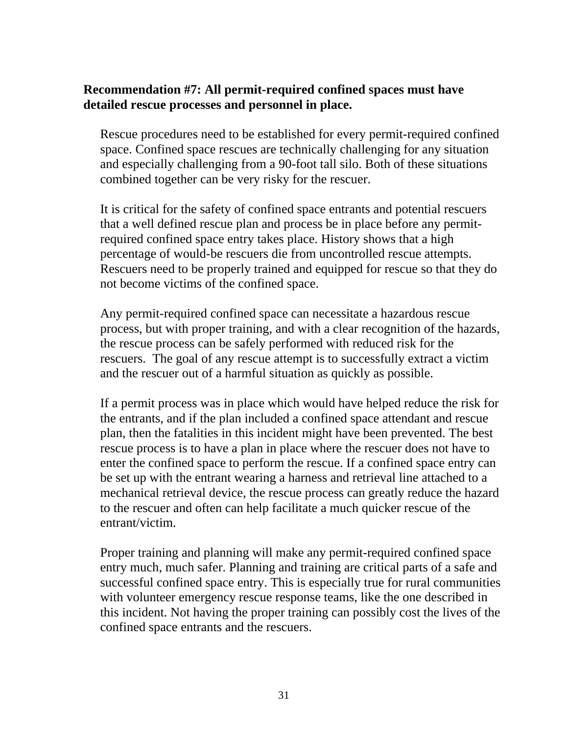#### **Recommendation #7: All permit-required confined spaces must have detailed rescue processes and personnel in place.**

Rescue procedures need to be established for every permit-required confined space. Confined space rescues are technically challenging for any situation and especially challenging from a 90-foot tall silo. Both of these situations combined together can be very risky for the rescuer.

It is critical for the safety of confined space entrants and potential rescuers that a well defined rescue plan and process be in place before any permitrequired confined space entry takes place. History shows that a high percentage of would-be rescuers die from uncontrolled rescue attempts. Rescuers need to be properly trained and equipped for rescue so that they do not become victims of the confined space.

Any permit-required confined space can necessitate a hazardous rescue process, but with proper training, and with a clear recognition of the hazards, the rescue process can be safely performed with reduced risk for the rescuers. The goal of any rescue attempt is to successfully extract a victim and the rescuer out of a harmful situation as quickly as possible.

If a permit process was in place which would have helped reduce the risk for the entrants, and if the plan included a confined space attendant and rescue plan, then the fatalities in this incident might have been prevented. The best rescue process is to have a plan in place where the rescuer does not have to enter the confined space to perform the rescue. If a confined space entry can be set up with the entrant wearing a harness and retrieval line attached to a mechanical retrieval device, the rescue process can greatly reduce the hazard to the rescuer and often can help facilitate a much quicker rescue of the entrant/victim.

Proper training and planning will make any permit-required confined space entry much, much safer. Planning and training are critical parts of a safe and successful confined space entry. This is especially true for rural communities with volunteer emergency rescue response teams, like the one described in this incident. Not having the proper training can possibly cost the lives of the confined space entrants and the rescuers.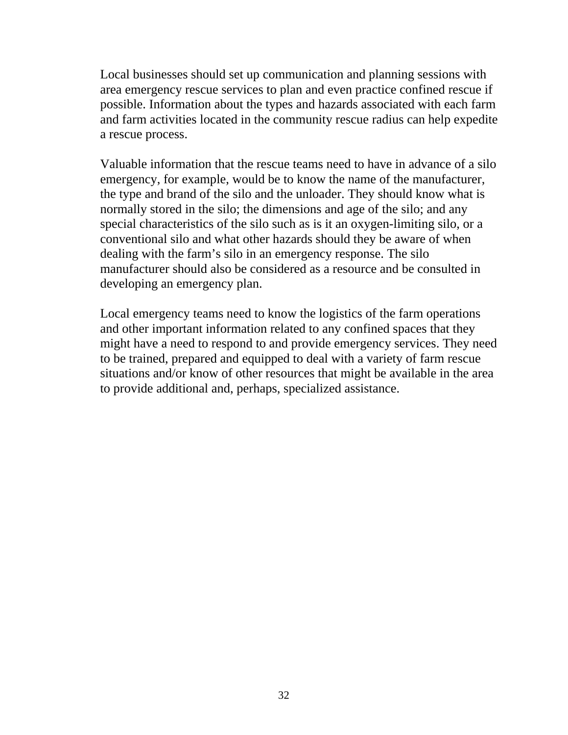Local businesses should set up communication and planning sessions with area emergency rescue services to plan and even practice confined rescue if possible. Information about the types and hazards associated with each farm and farm activities located in the community rescue radius can help expedite a rescue process.

Valuable information that the rescue teams need to have in advance of a silo emergency, for example, would be to know the name of the manufacturer, the type and brand of the silo and the unloader. They should know what is normally stored in the silo; the dimensions and age of the silo; and any special characteristics of the silo such as is it an oxygen-limiting silo, or a conventional silo and what other hazards should they be aware of when dealing with the farm's silo in an emergency response. The silo manufacturer should also be considered as a resource and be consulted in developing an emergency plan.

Local emergency teams need to know the logistics of the farm operations and other important information related to any confined spaces that they might have a need to respond to and provide emergency services. They need to be trained, prepared and equipped to deal with a variety of farm rescue situations and/or know of other resources that might be available in the area to provide additional and, perhaps, specialized assistance.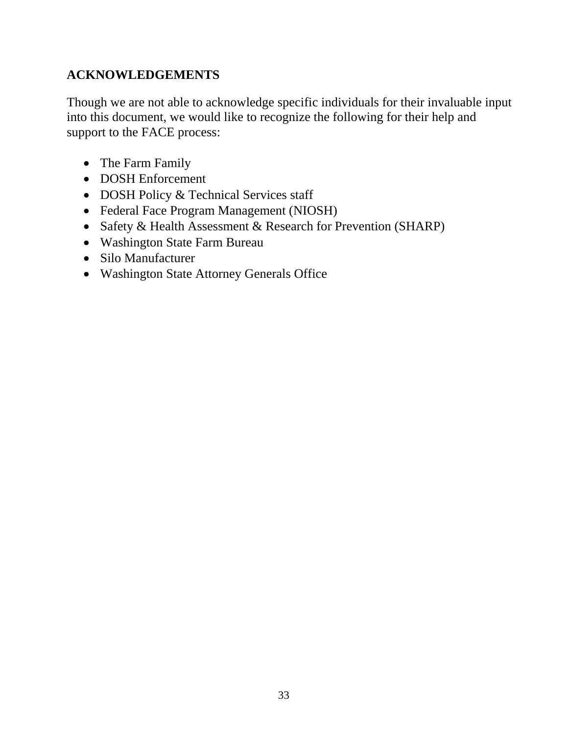# **ACKNOWLEDGEMENTS**

Though we are not able to acknowledge specific individuals for their invaluable input into this document, we would like to recognize the following for their help and support to the FACE process:

- The Farm Family
- DOSH Enforcement
- DOSH Policy & Technical Services staff
- Federal Face Program Management (NIOSH)
- Safety & Health Assessment & Research for Prevention (SHARP)
- Washington State Farm Bureau
- Silo Manufacturer
- Washington State Attorney Generals Office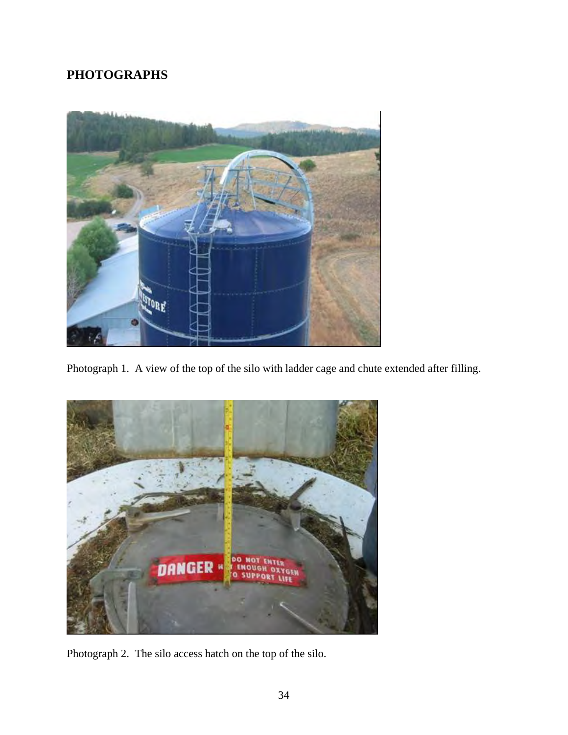# **PHOTOGRAPHS**



Photograph 1. A view of the top of the silo with ladder cage and chute extended after filling.



Photograph 2. The silo access hatch on the top of the silo.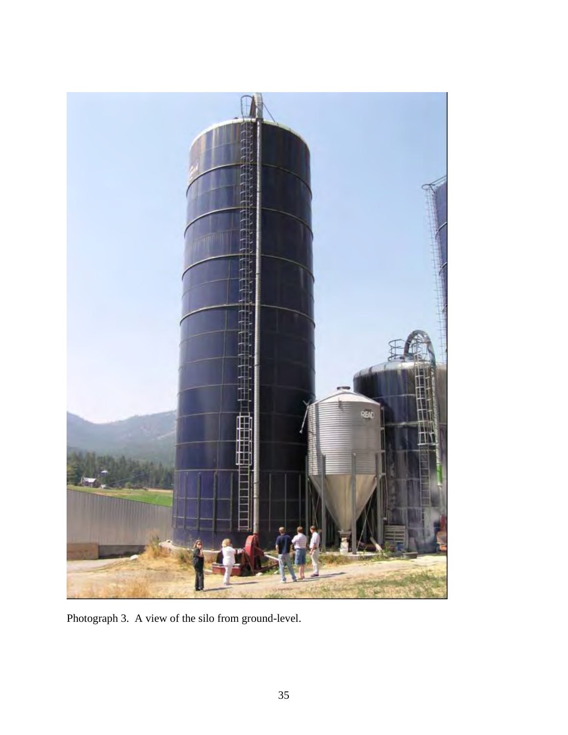

Photograph 3. A view of the silo from ground-level.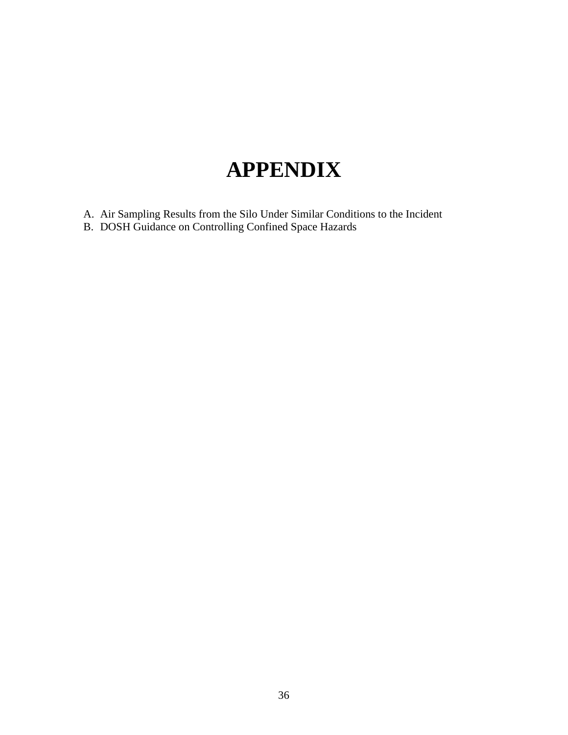# **APPENDIX**

- [A. Air Sampling Results from the Silo Under Similar Conditions to the Incident](#page-37-0)
- [B. DOSH Guidance on Controlling Confined Space Hazards](#page-49-0)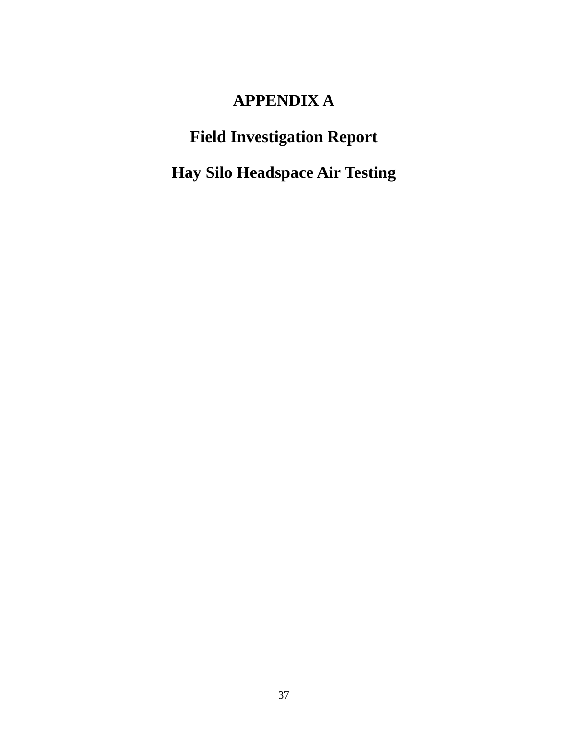## **APPENDIX A**

## <span id="page-37-0"></span>**Field Investigation Report**

**Hay Silo Headspace Air Testing**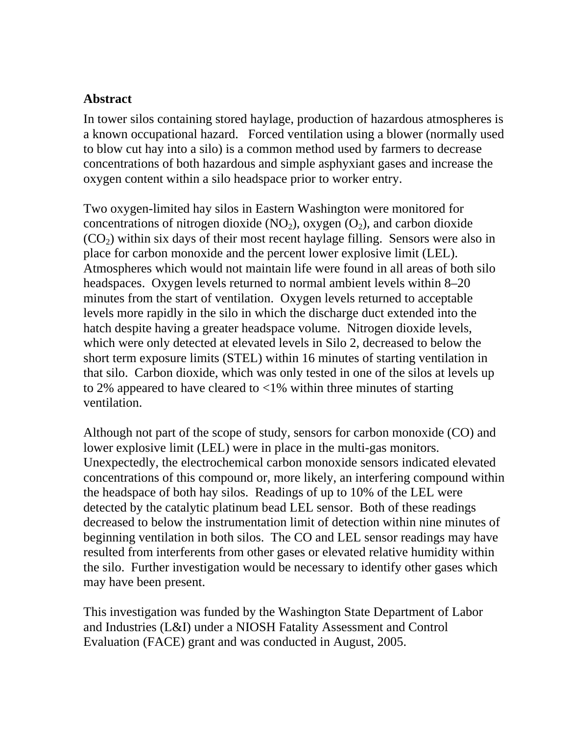### **Abstract**

In tower silos containing stored haylage, production of hazardous atmospheres is a known occupational hazard. Forced ventilation using a blower (normally used to blow cut hay into a silo) is a common method used by farmers to decrease concentrations of both hazardous and simple asphyxiant gases and increase the oxygen content within a silo headspace prior to worker entry.

Two oxygen-limited hay silos in Eastern Washington were monitored for concentrations of nitrogen dioxide  $(NO_2)$ , oxygen  $(O_2)$ , and carbon dioxide  $(CO<sub>2</sub>)$  within six days of their most recent haylage filling. Sensors were also in place for carbon monoxide and the percent lower explosive limit (LEL). Atmospheres which would not maintain life were found in all areas of both silo headspaces. Oxygen levels returned to normal ambient levels within 8–20 minutes from the start of ventilation. Oxygen levels returned to acceptable levels more rapidly in the silo in which the discharge duct extended into the hatch despite having a greater headspace volume. Nitrogen dioxide levels, which were only detected at elevated levels in Silo 2, decreased to below the short term exposure limits (STEL) within 16 minutes of starting ventilation in that silo. Carbon dioxide, which was only tested in one of the silos at levels up to 2% appeared to have cleared to  $\langle 1\% \rangle$  within three minutes of starting ventilation.

Although not part of the scope of study, sensors for carbon monoxide (CO) and lower explosive limit (LEL) were in place in the multi-gas monitors. Unexpectedly, the electrochemical carbon monoxide sensors indicated elevated concentrations of this compound or, more likely, an interfering compound within the headspace of both hay silos. Readings of up to 10% of the LEL were detected by the catalytic platinum bead LEL sensor. Both of these readings decreased to below the instrumentation limit of detection within nine minutes of beginning ventilation in both silos. The CO and LEL sensor readings may have resulted from interferents from other gases or elevated relative humidity within the silo. Further investigation would be necessary to identify other gases which may have been present.

This investigation was funded by the Washington State Department of Labor and Industries (L&I) under a NIOSH Fatality Assessment and Control Evaluation (FACE) grant and was conducted in August, 2005.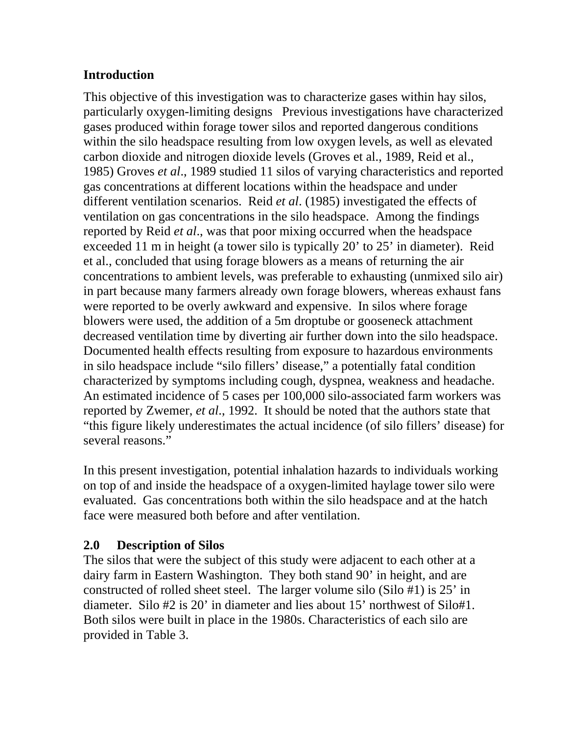## **Introduction**

This objective of this investigation was to characterize gases within hay silos, particularly oxygen-limiting designs Previous investigations have characterized gases produced within forage tower silos and reported dangerous conditions within the silo headspace resulting from low oxygen levels, as well as elevated carbon dioxide and nitrogen dioxide levels (Groves et al., 1989, Reid et al., 1985) Groves *et al*., 1989 studied 11 silos of varying characteristics and reported gas concentrations at different locations within the headspace and under different ventilation scenarios. Reid *et al*. (1985) investigated the effects of ventilation on gas concentrations in the silo headspace. Among the findings reported by Reid *et al*., was that poor mixing occurred when the headspace exceeded 11 m in height (a tower silo is typically 20' to 25' in diameter). Reid et al., concluded that using forage blowers as a means of returning the air concentrations to ambient levels, was preferable to exhausting (unmixed silo air) in part because many farmers already own forage blowers, whereas exhaust fans were reported to be overly awkward and expensive. In silos where forage blowers were used, the addition of a 5m droptube or gooseneck attachment decreased ventilation time by diverting air further down into the silo headspace. Documented health effects resulting from exposure to hazardous environments in silo headspace include "silo fillers' disease," a potentially fatal condition characterized by symptoms including cough, dyspnea, weakness and headache. An estimated incidence of 5 cases per 100,000 silo-associated farm workers was reported by Zwemer, *et al*., 1992. It should be noted that the authors state that "this figure likely underestimates the actual incidence (of silo fillers' disease) for several reasons."

In this present investigation, potential inhalation hazards to individuals working on top of and inside the headspace of a oxygen-limited haylage tower silo were evaluated. Gas concentrations both within the silo headspace and at the hatch face were measured both before and after ventilation.

### **2.0 Description of Silos**

The silos that were the subject of this study were adjacent to each other at a dairy farm in Eastern Washington. They both stand 90' in height, and are constructed of rolled sheet steel. The larger volume silo (Silo #1) is 25' in diameter. Silo #2 is 20' in diameter and lies about 15' northwest of Silo#1. Both silos were built in place in the 1980s. Characteristics of each silo are provided in Table 3.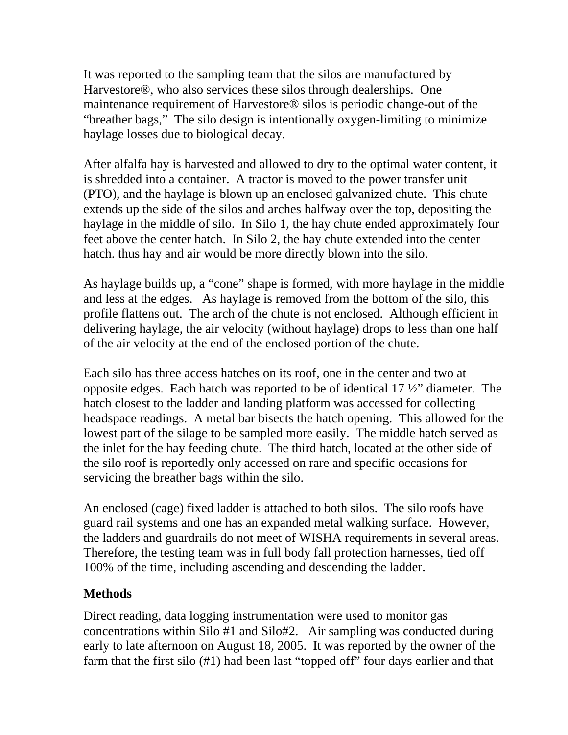It was reported to the sampling team that the silos are manufactured by Harvestore®, who also services these silos through dealerships. One maintenance requirement of Harvestore® silos is periodic change-out of the "breather bags," The silo design is intentionally oxygen-limiting to minimize haylage losses due to biological decay.

After alfalfa hay is harvested and allowed to dry to the optimal water content, it is shredded into a container. A tractor is moved to the power transfer unit (PTO), and the haylage is blown up an enclosed galvanized chute. This chute extends up the side of the silos and arches halfway over the top, depositing the haylage in the middle of silo. In Silo 1, the hay chute ended approximately four feet above the center hatch. In Silo 2, the hay chute extended into the center hatch. thus hay and air would be more directly blown into the silo.

As haylage builds up, a "cone" shape is formed, with more haylage in the middle and less at the edges. As haylage is removed from the bottom of the silo, this profile flattens out. The arch of the chute is not enclosed. Although efficient in delivering haylage, the air velocity (without haylage) drops to less than one half of the air velocity at the end of the enclosed portion of the chute.

Each silo has three access hatches on its roof, one in the center and two at opposite edges. Each hatch was reported to be of identical 17 ½" diameter. The hatch closest to the ladder and landing platform was accessed for collecting headspace readings. A metal bar bisects the hatch opening. This allowed for the lowest part of the silage to be sampled more easily. The middle hatch served as the inlet for the hay feeding chute. The third hatch, located at the other side of the silo roof is reportedly only accessed on rare and specific occasions for servicing the breather bags within the silo.

An enclosed (cage) fixed ladder is attached to both silos. The silo roofs have guard rail systems and one has an expanded metal walking surface. However, the ladders and guardrails do not meet of WISHA requirements in several areas. Therefore, the testing team was in full body fall protection harnesses, tied off 100% of the time, including ascending and descending the ladder.

## **Methods**

Direct reading, data logging instrumentation were used to monitor gas concentrations within Silo #1 and Silo#2. Air sampling was conducted during early to late afternoon on August 18, 2005. It was reported by the owner of the farm that the first silo (#1) had been last "topped off" four days earlier and that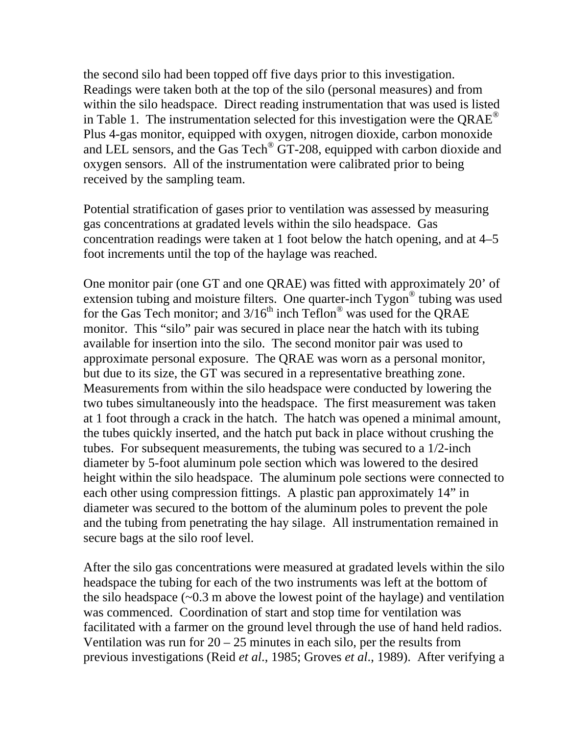the second silo had been topped off five days prior to this investigation. Readings were taken both at the top of the silo (personal measures) and from within the silo headspace. Direct reading instrumentation that was used is listed in Table 1. The instrumentation selected for this investigation were the  $QRAE^{\circledast}$ Plus 4-gas monitor, equipped with oxygen, nitrogen dioxide, carbon monoxide and LEL sensors, and the Gas Tech<sup>®</sup> GT-208, equipped with carbon dioxide and oxygen sensors. All of the instrumentation were calibrated prior to being received by the sampling team.

Potential stratification of gases prior to ventilation was assessed by measuring gas concentrations at gradated levels within the silo headspace. Gas concentration readings were taken at 1 foot below the hatch opening, and at 4–5 foot increments until the top of the haylage was reached.

One monitor pair (one GT and one QRAE) was fitted with approximately 20' of extension tubing and moisture filters. One quarter-inch Tygon<sup>®</sup> tubing was used for the Gas Tech monitor; and  $3/16^{th}$  inch Teflon<sup>®</sup> was used for the QRAE monitor. This "silo" pair was secured in place near the hatch with its tubing available for insertion into the silo. The second monitor pair was used to approximate personal exposure. The QRAE was worn as a personal monitor, but due to its size, the GT was secured in a representative breathing zone. Measurements from within the silo headspace were conducted by lowering the two tubes simultaneously into the headspace. The first measurement was taken at 1 foot through a crack in the hatch. The hatch was opened a minimal amount, the tubes quickly inserted, and the hatch put back in place without crushing the tubes. For subsequent measurements, the tubing was secured to a 1/2-inch diameter by 5-foot aluminum pole section which was lowered to the desired height within the silo headspace. The aluminum pole sections were connected to each other using compression fittings. A plastic pan approximately 14" in diameter was secured to the bottom of the aluminum poles to prevent the pole and the tubing from penetrating the hay silage. All instrumentation remained in secure bags at the silo roof level.

After the silo gas concentrations were measured at gradated levels within the silo headspace the tubing for each of the two instruments was left at the bottom of the silo headspace  $(\sim 0.3 \text{ m}$  above the lowest point of the haylage) and ventilation was commenced. Coordination of start and stop time for ventilation was facilitated with a farmer on the ground level through the use of hand held radios. Ventilation was run for  $20 - 25$  minutes in each silo, per the results from previous investigations (Reid *et al*., 1985; Groves *et al*., 1989). After verifying a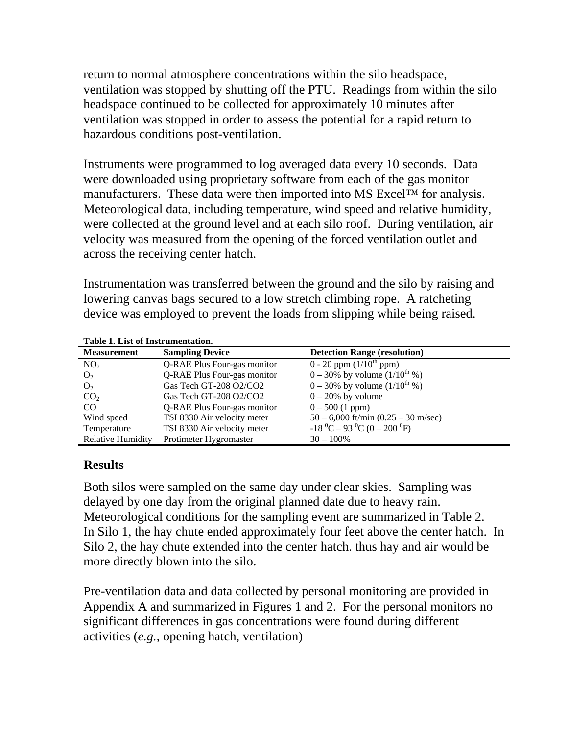return to normal atmosphere concentrations within the silo headspace, ventilation was stopped by shutting off the PTU. Readings from within the silo headspace continued to be collected for approximately 10 minutes after ventilation was stopped in order to assess the potential for a rapid return to hazardous conditions post-ventilation.

Instruments were programmed to log averaged data every 10 seconds. Data were downloaded using proprietary software from each of the gas monitor manufacturers. These data were then imported into MS Excel™ for analysis. Meteorological data, including temperature, wind speed and relative humidity, were collected at the ground level and at each silo roof. During ventilation, air velocity was measured from the opening of the forced ventilation outlet and across the receiving center hatch.

Instrumentation was transferred between the ground and the silo by raising and lowering canvas bags secured to a low stretch climbing rope. A ratcheting device was employed to prevent the loads from slipping while being raised.

| <b>Measurement</b>       | <b>Sampling Device</b>      | <b>Detection Range (resolution)</b>       |
|--------------------------|-----------------------------|-------------------------------------------|
| NO <sub>2</sub>          | Q-RAE Plus Four-gas monitor | 0 - 20 ppm $(1/10^{th}$ ppm)              |
| O <sub>2</sub>           | Q-RAE Plus Four-gas monitor | $0 - 30\%$ by volume $(1/10^{th}\%)$      |
| O <sub>2</sub>           | Gas Tech GT-208 O2/CO2      | $0 - 30\%$ by volume $(1/10^{th}\%)$      |
| CO <sub>2</sub>          | Gas Tech GT-208 O2/CO2      | $0 - 20\%$ by volume                      |
| CO.                      | Q-RAE Plus Four-gas monitor | $0 - 500$ (1 ppm)                         |
| Wind speed               | TSI 8330 Air velocity meter | $50 - 6,000$ ft/min $(0.25 - 30$ m/sec)   |
| Temperature              | TSI 8330 Air velocity meter | $-18\ ^{0}C - 93\ ^{0}C (0 - 200\ ^{0}F)$ |
| <b>Relative Humidity</b> | Protimeter Hygromaster      | $30 - 100\%$                              |

**Table 1. List of Instrumentation.** 

### **Results**

Both silos were sampled on the same day under clear skies. Sampling was delayed by one day from the original planned date due to heavy rain. Meteorological conditions for the sampling event are summarized in Table 2. In Silo 1, the hay chute ended approximately four feet above the center hatch. In Silo 2, the hay chute extended into the center hatch. thus hay and air would be more directly blown into the silo.

Pre-ventilation data and data collected by personal monitoring are provided in Appendix A and summarized in Figures 1 and 2. For the personal monitors no significant differences in gas concentrations were found during different activities (*e.g.*, opening hatch, ventilation)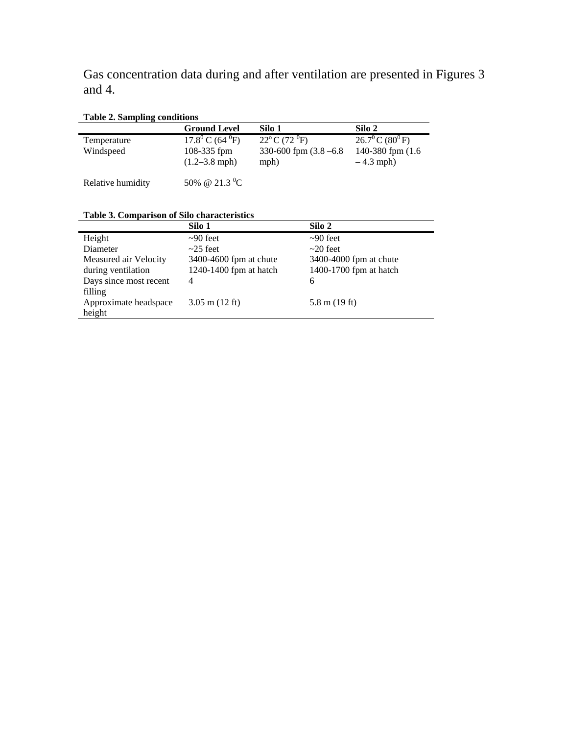Gas concentration data during and after ventilation are presented in Figures 3 and 4.

#### **Table 2. Sampling conditions**

| <b>Table 2. Sampling conditions</b> |                                     |                                   |                                      |
|-------------------------------------|-------------------------------------|-----------------------------------|--------------------------------------|
|                                     | <b>Ground Level</b>                 | Silo 1                            | Silo 2                               |
| Temperature                         | $17.8^{\circ}$ C (64 $^{\circ}$ F)  | $22^{\circ}$ C (72 $^{\circ}$ F)  | $26.7^{\circ}$ C (80 <sup>°</sup> F) |
| Windspeed                           | 108-335 $f$ pm<br>$(1.2 - 3.8$ mph) | 330-600 fpm $(3.8 - 6.8)$<br>mph) | 140-380 fpm (1.6)<br>$-4.3$ mph)     |
| Relative humidity                   | 50% @ 21.3 <sup>0</sup> C           |                                   |                                      |

|  |  |  | Table 3. Comparison of Silo characteristics |
|--|--|--|---------------------------------------------|
|--|--|--|---------------------------------------------|

| Table 3. Comparison of Silo characteristics |                            |                         |  |  |
|---------------------------------------------|----------------------------|-------------------------|--|--|
|                                             | Silo 1                     | Silo 2                  |  |  |
| Height                                      | $\sim 90$ feet             | $\sim 90$ feet          |  |  |
| Diameter                                    | $\sim$ 25 feet             | $\sim$ 20 feet          |  |  |
| Measured air Velocity                       | 3400-4600 fpm at chute     | 3400-4000 fpm at chute  |  |  |
| during ventilation                          | 1240-1400 fpm at hatch     | 1400-1700 fpm at hatch  |  |  |
| Days since most recent                      | 4                          | 6                       |  |  |
| filling                                     |                            |                         |  |  |
| Approximate headspace                       | $3.05$ m $(12 \text{ ft})$ | $5.8 \text{ m}$ (19 ft) |  |  |
| height                                      |                            |                         |  |  |
|                                             |                            |                         |  |  |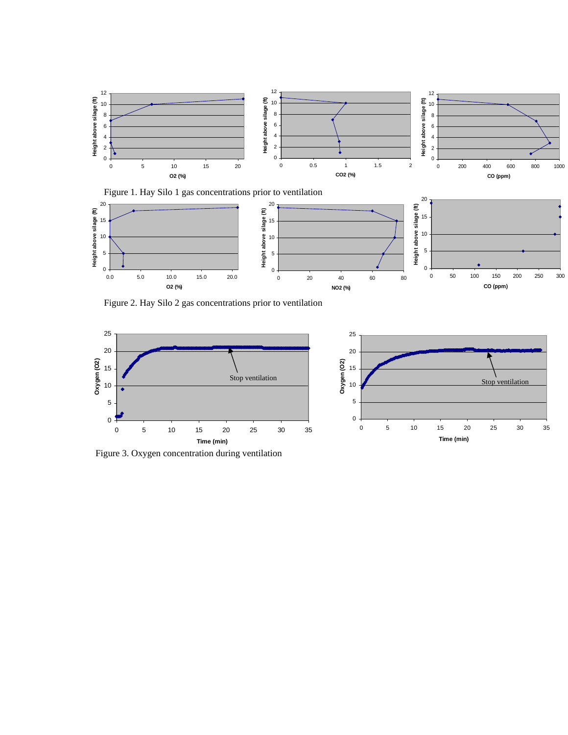

Figure 1. Hay Silo 1 gas concentrations prior to ventilation 20<br>20



Figure 2. Hay Silo 2 gas concentrations prior to ventilation



Figure 3. Oxygen concentration during ventilation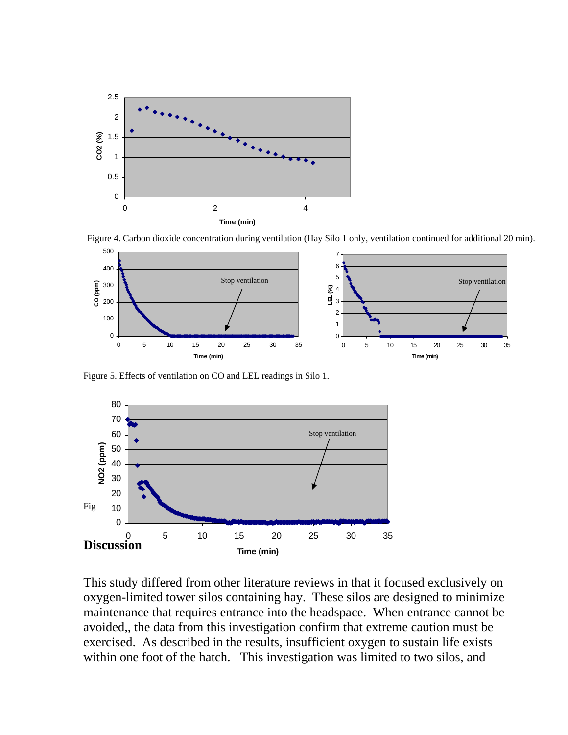

Figure 4. Carbon dioxide concentration during ventilation (Hay Silo 1 only, ventilation continued for additional 20 min).



Figure 5. Effects of ventilation on CO and LEL readings in Silo 1.



This study differed from other literature reviews in that it focused exclusively on oxygen-limited tower silos containing hay. These silos are designed to minimize maintenance that requires entrance into the headspace. When entrance cannot be avoided,, the data from this investigation confirm that extreme caution must be exercised. As described in the results, insufficient oxygen to sustain life exists within one foot of the hatch. This investigation was limited to two silos, and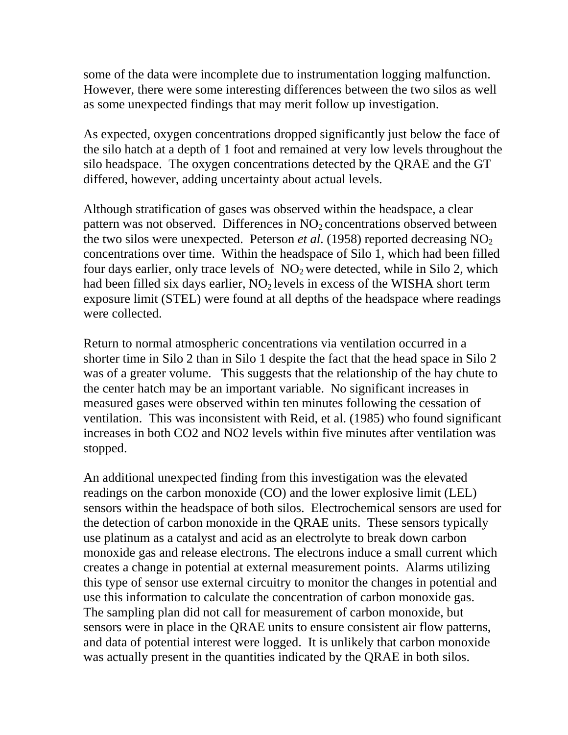some of the data were incomplete due to instrumentation logging malfunction. However, there were some interesting differences between the two silos as well as some unexpected findings that may merit follow up investigation.

As expected, oxygen concentrations dropped significantly just below the face of the silo hatch at a depth of 1 foot and remained at very low levels throughout the silo headspace. The oxygen concentrations detected by the QRAE and the GT differed, however, adding uncertainty about actual levels.

Although stratification of gases was observed within the headspace, a clear pattern was not observed. Differences in  $NO<sub>2</sub>$  concentrations observed between the two silos were unexpected. Peterson *et al.* (1958) reported decreasing  $NO<sub>2</sub>$ concentrations over time. Within the headspace of Silo 1, which had been filled four days earlier, only trace levels of  $NO<sub>2</sub>$  were detected, while in Silo 2, which had been filled six days earlier,  $NO<sub>2</sub>$  levels in excess of the WISHA short term exposure limit (STEL) were found at all depths of the headspace where readings were collected.

Return to normal atmospheric concentrations via ventilation occurred in a shorter time in Silo 2 than in Silo 1 despite the fact that the head space in Silo 2 was of a greater volume. This suggests that the relationship of the hay chute to the center hatch may be an important variable. No significant increases in measured gases were observed within ten minutes following the cessation of ventilation. This was inconsistent with Reid, et al. (1985) who found significant increases in both CO2 and NO2 levels within five minutes after ventilation was stopped.

An additional unexpected finding from this investigation was the elevated readings on the carbon monoxide (CO) and the lower explosive limit (LEL) sensors within the headspace of both silos. Electrochemical sensors are used for the detection of carbon monoxide in the QRAE units. These sensors typically use platinum as a catalyst and acid as an electrolyte to break down carbon monoxide gas and release electrons. The electrons induce a small current which creates a change in potential at external measurement points. Alarms utilizing this type of sensor use external circuitry to monitor the changes in potential and use this information to calculate the concentration of carbon monoxide gas. The sampling plan did not call for measurement of carbon monoxide, but sensors were in place in the QRAE units to ensure consistent air flow patterns, and data of potential interest were logged. It is unlikely that carbon monoxide was actually present in the quantities indicated by the QRAE in both silos.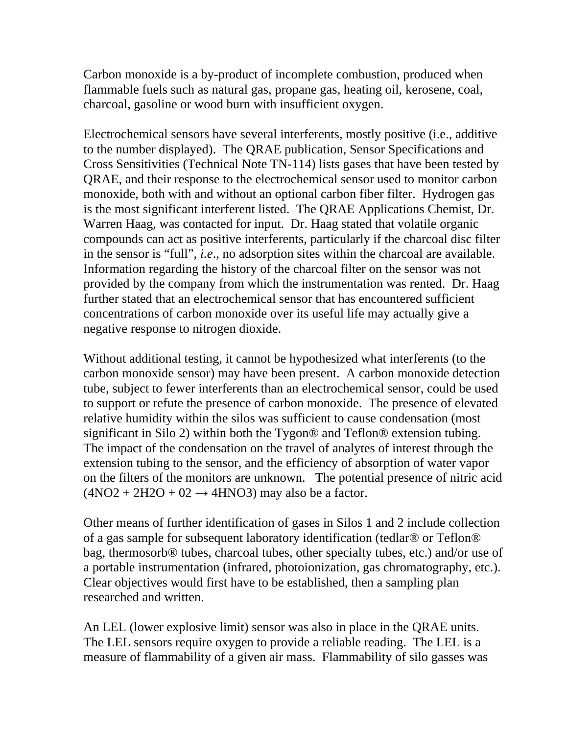Carbon monoxide is a by-product of incomplete combustion, produced when flammable fuels such as natural gas, propane gas, heating oil, kerosene, coal, charcoal, gasoline or wood burn with insufficient oxygen.

Electrochemical sensors have several interferents, mostly positive (i.e., additive to the number displayed). The QRAE publication, Sensor Specifications and Cross Sensitivities (Technical Note TN-114) lists gases that have been tested by QRAE, and their response to the electrochemical sensor used to monitor carbon monoxide, both with and without an optional carbon fiber filter. Hydrogen gas is the most significant interferent listed. The QRAE Applications Chemist, Dr. Warren Haag, was contacted for input. Dr. Haag stated that volatile organic compounds can act as positive interferents, particularly if the charcoal disc filter in the sensor is "full", *i.e*., no adsorption sites within the charcoal are available. Information regarding the history of the charcoal filter on the sensor was not provided by the company from which the instrumentation was rented. Dr. Haag further stated that an electrochemical sensor that has encountered sufficient concentrations of carbon monoxide over its useful life may actually give a negative response to nitrogen dioxide.

Without additional testing, it cannot be hypothesized what interferents (to the carbon monoxide sensor) may have been present. A carbon monoxide detection tube, subject to fewer interferents than an electrochemical sensor, could be used to support or refute the presence of carbon monoxide. The presence of elevated relative humidity within the silos was sufficient to cause condensation (most significant in Silo 2) within both the Tygon® and Teflon® extension tubing. The impact of the condensation on the travel of analytes of interest through the extension tubing to the sensor, and the efficiency of absorption of water vapor on the filters of the monitors are unknown. The potential presence of nitric acid  $(4NO2 + 2H2O + 02 \rightarrow 4HNO3)$  may also be a factor.

Other means of further identification of gases in Silos 1 and 2 include collection of a gas sample for subsequent laboratory identification (tedlar® or Teflon® bag, thermosorb® tubes, charcoal tubes, other specialty tubes, etc.) and/or use of a portable instrumentation (infrared, photoionization, gas chromatography, etc.). Clear objectives would first have to be established, then a sampling plan researched and written.

An LEL (lower explosive limit) sensor was also in place in the QRAE units. The LEL sensors require oxygen to provide a reliable reading. The LEL is a measure of flammability of a given air mass. Flammability of silo gasses was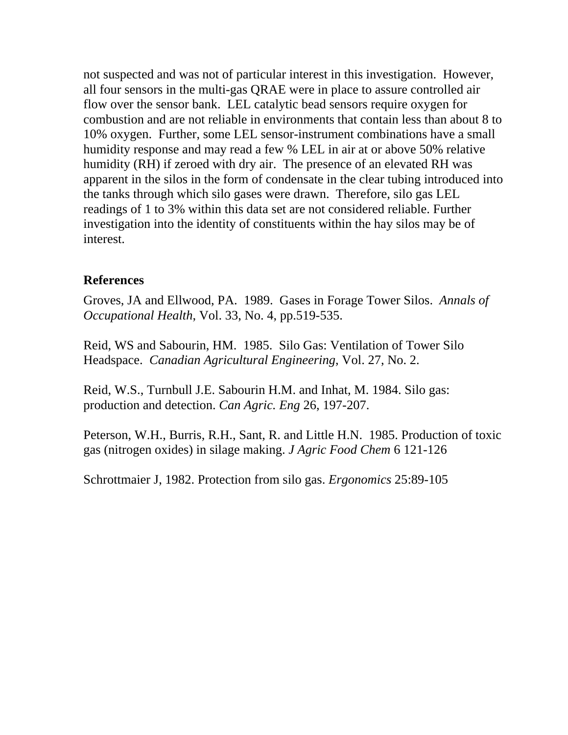not suspected and was not of particular interest in this investigation. However, all four sensors in the multi-gas QRAE were in place to assure controlled air flow over the sensor bank. LEL catalytic bead sensors require oxygen for combustion and are not reliable in environments that contain less than about 8 to 10% oxygen. Further, some LEL sensor-instrument combinations have a small humidity response and may read a few % LEL in air at or above 50% relative humidity (RH) if zeroed with dry air. The presence of an elevated RH was apparent in the silos in the form of condensate in the clear tubing introduced into the tanks through which silo gases were drawn. Therefore, silo gas LEL readings of 1 to 3% within this data set are not considered reliable. Further investigation into the identity of constituents within the hay silos may be of interest.

### **References**

Groves, JA and Ellwood, PA. 1989. Gases in Forage Tower Silos. *Annals of Occupational Health*, Vol. 33, No. 4, pp.519-535.

Reid, WS and Sabourin, HM. 1985. Silo Gas: Ventilation of Tower Silo Headspace. *Canadian Agricultural Engineering*, Vol. 27, No. 2.

Reid, W.S., Turnbull J.E. Sabourin H.M. and Inhat, M. 1984. Silo gas: production and detection. *Can Agric. Eng* 26, 197-207.

Peterson, W.H., Burris, R.H., Sant, R. and Little H.N. 1985. Production of toxic gas (nitrogen oxides) in silage making. *J Agric Food Chem* 6 121-126

Schrottmaier J, 1982. Protection from silo gas. *Ergonomics* 25:89-105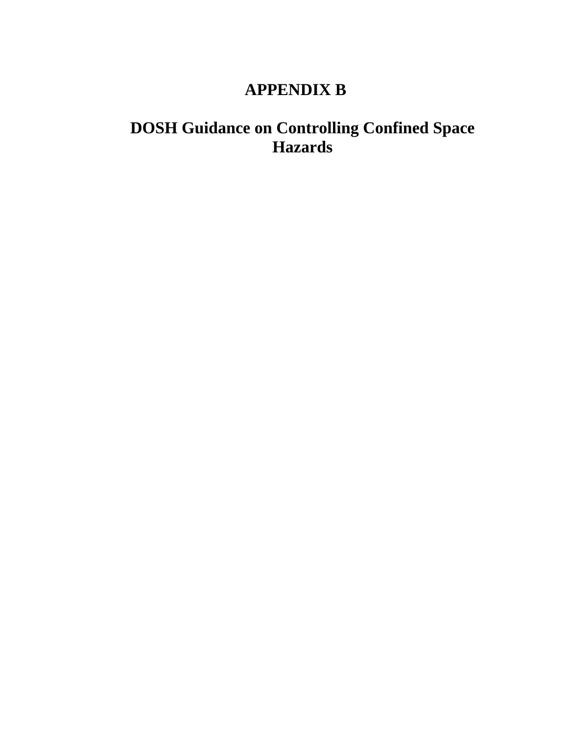## **APPENDIX B**

## <span id="page-49-0"></span>**DOSH Guidance on Controlling Confined Space Hazards**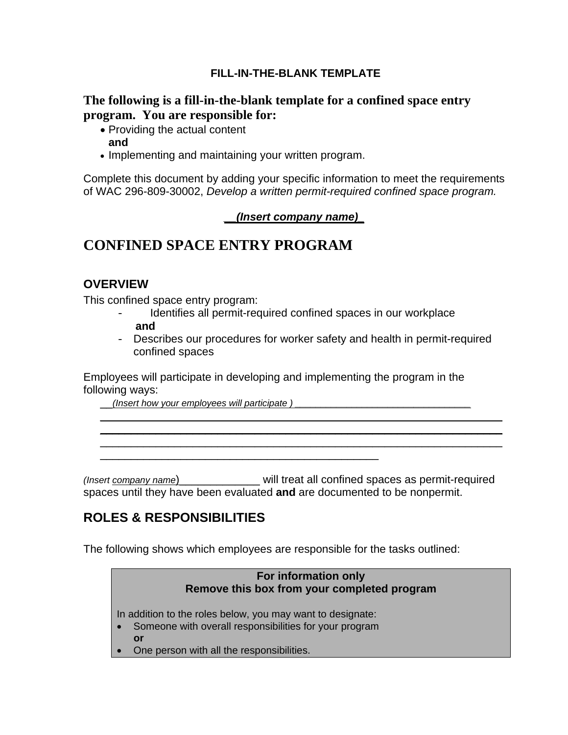#### **FILL-IN-THE-BLANK TEMPLATE**

#### **The following is a fill-in-the-blank template for a confined space entry program. You are responsible for:**

- Providing the actual content **and**
- Implementing and maintaining your written program.

Complete this document by adding your specific information to meet the requirements of WAC 296-809-30002, *Develop a written permit-required confined space program.* 

#### *\_\_(Insert company name)\_*

## **CONFINED SPACE ENTRY PROGRAM**

#### **OVERVIEW**

This confined space entry program:

- **and** Identifies all permit-required confined spaces in our workplace
- Describes our procedures for worker safety and health in permit-required confined spaces

 $\_$  , and the set of the set of the set of the set of the set of the set of the set of the set of the set of the set of the set of the set of the set of the set of the set of the set of the set of the set of the set of th  $\_$  , and the set of the set of the set of the set of the set of the set of the set of the set of the set of the set of the set of the set of the set of the set of the set of the set of the set of the set of the set of th  $\_$  , and the set of the set of the set of the set of the set of the set of the set of the set of the set of the set of the set of the set of the set of the set of the set of the set of the set of the set of the set of th

Employees will participate in developing and implementing the program in the following ways:

\_\_*(Insert how your employees will participate ) \_\_\_\_\_\_\_\_\_\_\_\_\_\_\_\_\_\_\_\_\_\_\_\_\_\_\_\_\_\_\_\_\_\_* 

*(Insert company name*)\_\_\_\_\_\_\_\_\_\_\_\_\_ will treat all confined spaces as permit-required spaces until they have been evaluated **and** are documented to be nonpermit.

## **ROLES & RESPONSIBILITIES**

The following shows which employees are responsible for the tasks outlined:

#### **For information only Remove this box from your completed program**

In addition to the roles below, you may want to designate:

\_\_\_\_\_\_\_\_\_\_\_\_\_\_\_\_\_\_\_\_\_\_\_\_\_\_\_\_\_\_\_\_\_\_\_\_\_\_\_\_\_\_\_\_\_

- Someone with overall responsibilities for your program
- **or**
- One person with all the responsibilities.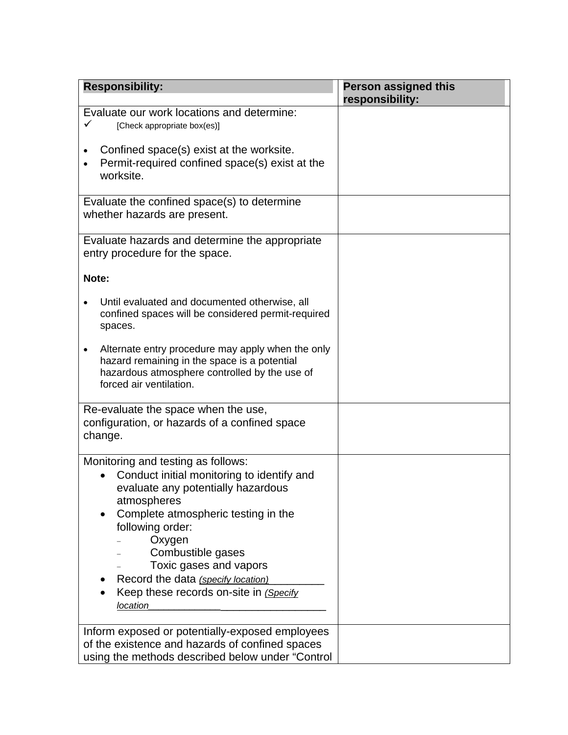| <b>Responsibility:</b>                                                                                                                                                                                                                                                                                                                                | <b>Person assigned this</b><br>responsibility: |
|-------------------------------------------------------------------------------------------------------------------------------------------------------------------------------------------------------------------------------------------------------------------------------------------------------------------------------------------------------|------------------------------------------------|
| Evaluate our work locations and determine:<br>✓<br>[Check appropriate box(es)]                                                                                                                                                                                                                                                                        |                                                |
| Confined space(s) exist at the worksite.<br>Permit-required confined space(s) exist at the<br>worksite.                                                                                                                                                                                                                                               |                                                |
| Evaluate the confined space(s) to determine<br>whether hazards are present.                                                                                                                                                                                                                                                                           |                                                |
| Evaluate hazards and determine the appropriate<br>entry procedure for the space.                                                                                                                                                                                                                                                                      |                                                |
| Note:                                                                                                                                                                                                                                                                                                                                                 |                                                |
| Until evaluated and documented otherwise, all<br>confined spaces will be considered permit-required<br>spaces.                                                                                                                                                                                                                                        |                                                |
| Alternate entry procedure may apply when the only<br>$\bullet$<br>hazard remaining in the space is a potential<br>hazardous atmosphere controlled by the use of<br>forced air ventilation.                                                                                                                                                            |                                                |
| Re-evaluate the space when the use,<br>configuration, or hazards of a confined space<br>change.                                                                                                                                                                                                                                                       |                                                |
| Monitoring and testing as follows:<br>Conduct initial monitoring to identify and<br>evaluate any potentially hazardous<br>atmospheres<br>Complete atmospheric testing in the<br>following order:<br>Oxygen<br>Combustible gases<br>Toxic gases and vapors<br>Record the data (specify location)<br>Keep these records on-site in (Specify<br>location |                                                |
| Inform exposed or potentially-exposed employees<br>of the existence and hazards of confined spaces<br>using the methods described below under "Control                                                                                                                                                                                                |                                                |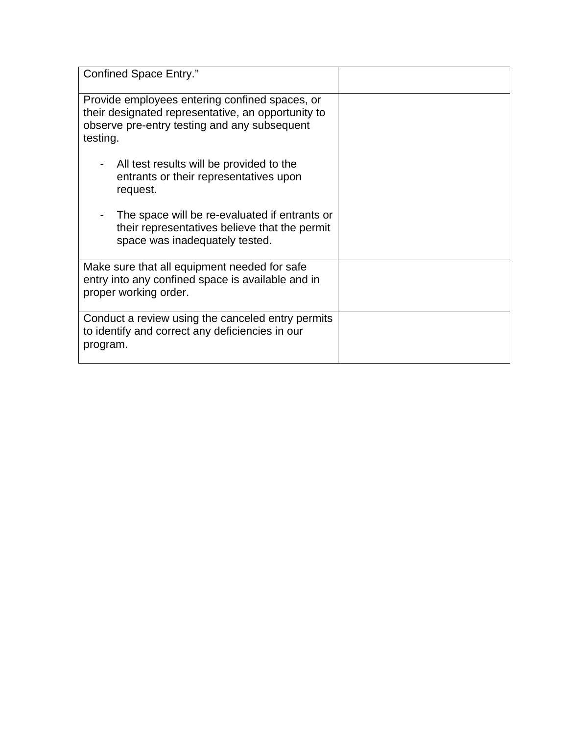| <b>Confined Space Entry."</b>                                                                                                                                    |  |
|------------------------------------------------------------------------------------------------------------------------------------------------------------------|--|
| Provide employees entering confined spaces, or<br>their designated representative, an opportunity to<br>observe pre-entry testing and any subsequent<br>testing. |  |
| All test results will be provided to the<br>entrants or their representatives upon<br>request.                                                                   |  |
| The space will be re-evaluated if entrants or<br>their representatives believe that the permit<br>space was inadequately tested.                                 |  |
| Make sure that all equipment needed for safe<br>entry into any confined space is available and in<br>proper working order.                                       |  |
| Conduct a review using the canceled entry permits<br>to identify and correct any deficiencies in our<br>program.                                                 |  |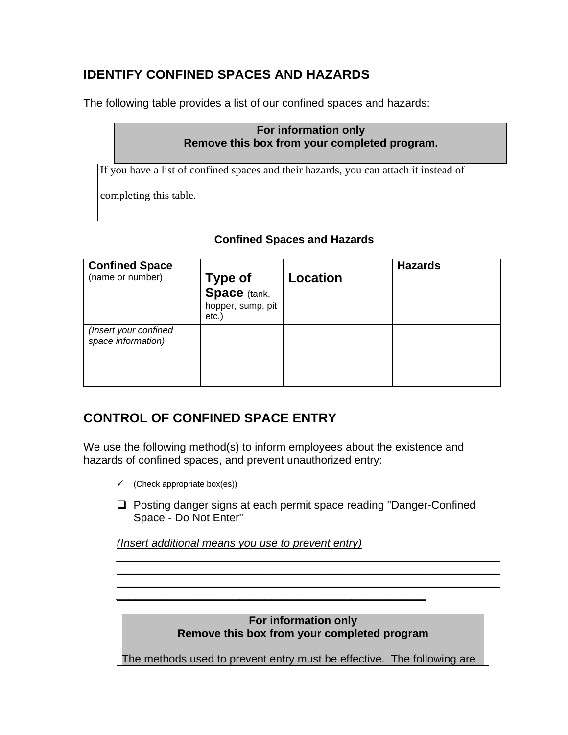## **IDENTIFY CONFINED SPACES AND HAZARDS**

The following table provides a list of our confined spaces and hazards:

#### **For information only Remove this box from your completed program.**

If you have a list of confined spaces and their hazards, you can attach it instead of

completing this table.

#### **Confined Spaces and Hazards**

| <b>Confined Space</b><br>(name or number)   | <b>Type of</b><br><b>Space</b> (tank,<br>hopper, sump, pit<br>$etc.$ ) | Location | <b>Hazards</b> |
|---------------------------------------------|------------------------------------------------------------------------|----------|----------------|
| (Insert your confined<br>space information) |                                                                        |          |                |
|                                             |                                                                        |          |                |
|                                             |                                                                        |          |                |
|                                             |                                                                        |          |                |

## **CONTROL OF CONFINED SPACE ENTRY**

We use the following method(s) to inform employees about the existence and hazards of confined spaces, and prevent unauthorized entry:

*\_\_\_\_\_\_\_\_\_\_\_\_\_\_\_\_\_\_\_\_\_\_\_\_\_\_\_\_\_\_\_\_\_\_\_\_\_\_\_\_\_\_\_\_\_\_\_\_\_\_* 

- $\checkmark$  (Check appropriate box(es))
- □ Posting danger signs at each permit space reading "Danger-Confined Space - Do Not Enter"

*(Insert additional means you use to prevent entry)* 

**For information only Remove this box from your completed program** 

*\_\_\_\_\_\_\_\_\_\_\_\_\_\_\_\_\_\_\_\_\_\_\_\_\_\_\_\_\_\_\_\_\_\_\_\_\_\_\_\_\_\_\_\_\_\_\_\_\_\_\_\_\_\_\_\_\_\_\_\_\_\_ \_\_\_\_\_\_\_\_\_\_\_\_\_\_\_\_\_\_\_\_\_\_\_\_\_\_\_\_\_\_\_\_\_\_\_\_\_\_\_\_\_\_\_\_\_\_\_\_\_\_\_\_\_\_\_\_\_\_\_\_\_\_ \_\_\_\_\_\_\_\_\_\_\_\_\_\_\_\_\_\_\_\_\_\_\_\_\_\_\_\_\_\_\_\_\_\_\_\_\_\_\_\_\_\_\_\_\_\_\_\_\_\_\_\_\_\_\_\_\_\_\_\_\_\_* 

The methods used to prevent entry must be effective. The following are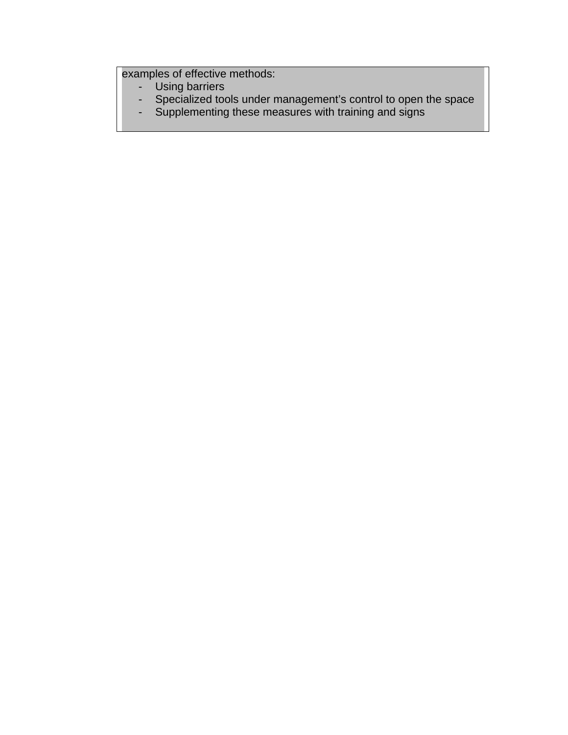examples of effective methods:

- Using barriers
- Specialized tools under management's control to open the space
- Supplementing these measures with training and signs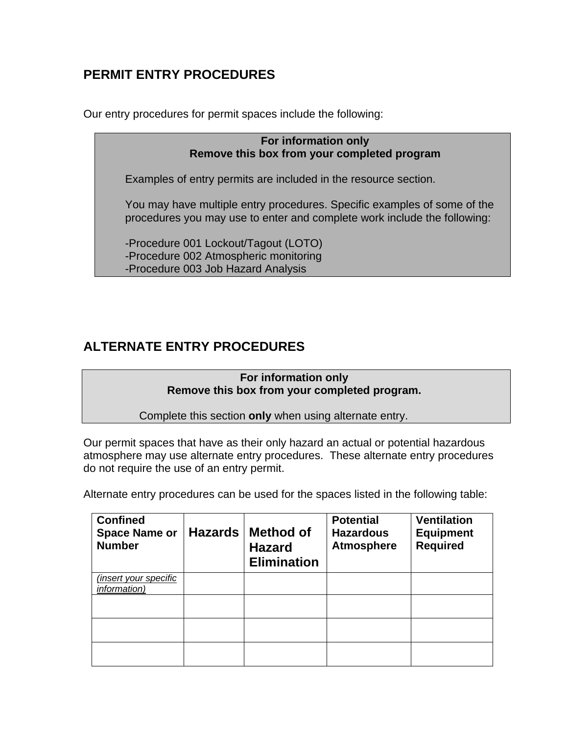## **PERMIT ENTRY PROCEDURES**

Our entry procedures for permit spaces include the following:

**For information only Remove this box from your completed program** 

Examples of entry permits are included in the resource section.

You may have multiple entry procedures. Specific examples of some of the procedures you may use to enter and complete work include the following:

-Procedure 001 Lockout/Tagout (LOTO) -Procedure 002 Atmospheric monitoring -Procedure 003 Job Hazard Analysis

## **ALTERNATE ENTRY PROCEDURES**

**For information only Remove this box from your completed program.** 

Complete this section **only** when using alternate entry.

Our permit spaces that have as their only hazard an actual or potential hazardous atmosphere may use alternate entry procedures. These alternate entry procedures do not require the use of an entry permit.

Alternate entry procedures can be used for the spaces listed in the following table:

| <b>Confined</b><br><b>Space Name or</b><br><b>Number</b> | <b>Hazards</b> | <b>Method of</b><br><b>Hazard</b><br><b>Elimination</b> | <b>Potential</b><br><b>Hazardous</b><br><b>Atmosphere</b> | <b>Ventilation</b><br><b>Equipment</b><br><b>Required</b> |
|----------------------------------------------------------|----------------|---------------------------------------------------------|-----------------------------------------------------------|-----------------------------------------------------------|
| insert your specific)<br><i>information</i> )            |                |                                                         |                                                           |                                                           |
|                                                          |                |                                                         |                                                           |                                                           |
|                                                          |                |                                                         |                                                           |                                                           |
|                                                          |                |                                                         |                                                           |                                                           |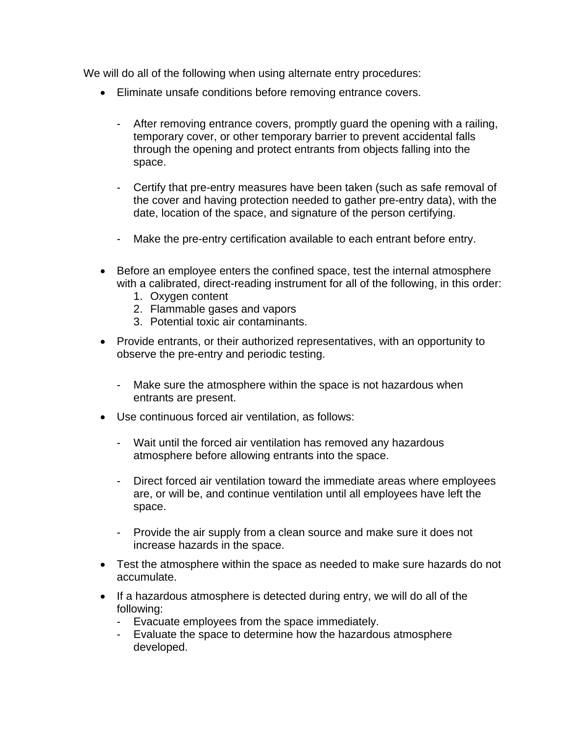We will do all of the following when using alternate entry procedures:

- Eliminate unsafe conditions before removing entrance covers.
	- After removing entrance covers, promptly guard the opening with a railing, temporary cover, or other temporary barrier to prevent accidental falls through the opening and protect entrants from objects falling into the space.
	- Certify that pre-entry measures have been taken (such as safe removal of the cover and having protection needed to gather pre-entry data), with the date, location of the space, and signature of the person certifying.
	- Make the pre-entry certification available to each entrant before entry.
- Before an employee enters the confined space, test the internal atmosphere with a calibrated, direct-reading instrument for all of the following, in this order:
	- 1. Oxygen content
	- 2. Flammable gases and vapors
	- 3. Potential toxic air contaminants.
- Provide entrants, or their authorized representatives, with an opportunity to observe the pre-entry and periodic testing.
	- Make sure the atmosphere within the space is not hazardous when entrants are present.
- Use continuous forced air ventilation, as follows:
	- Wait until the forced air ventilation has removed any hazardous atmosphere before allowing entrants into the space.
	- Direct forced air ventilation toward the immediate areas where employees are, or will be, and continue ventilation until all employees have left the space.
	- Provide the air supply from a clean source and make sure it does not increase hazards in the space.
- Test the atmosphere within the space as needed to make sure hazards do not accumulate.
- If a hazardous atmosphere is detected during entry, we will do all of the following:
	- Evacuate employees from the space immediately.
	- Evaluate the space to determine how the hazardous atmosphere developed.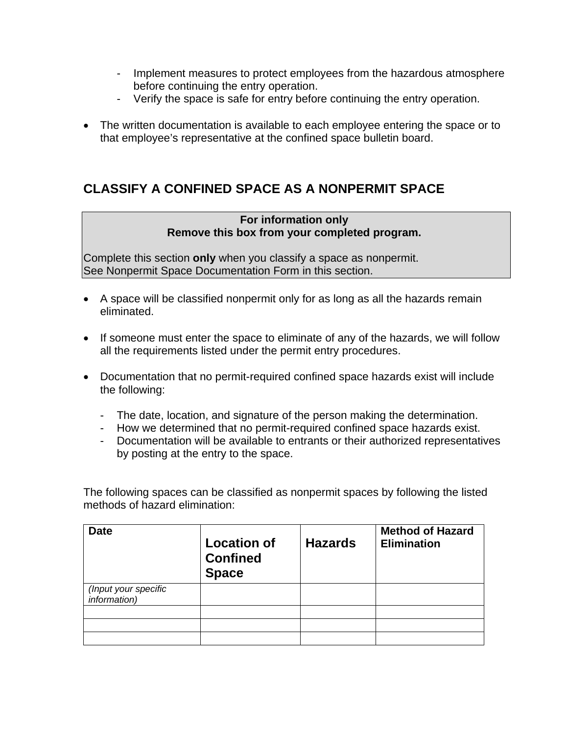- Implement measures to protect employees from the hazardous atmosphere before continuing the entry operation.
- Verify the space is safe for entry before continuing the entry operation.
- The written documentation is available to each employee entering the space or to that employee's representative at the confined space bulletin board.

## **CLASSIFY A CONFINED SPACE AS A NONPERMIT SPACE**

#### **For information only Remove this box from your completed program.**

Complete this section **only** when you classify a space as nonpermit. See Nonpermit Space Documentation Form in this section.

- A space will be classified nonpermit only for as long as all the hazards remain eliminated.
- If someone must enter the space to eliminate of any of the hazards, we will follow all the requirements listed under the permit entry procedures.
- Documentation that no permit-required confined space hazards exist will include the following:
	- The date, location, and signature of the person making the determination.
	- How we determined that no permit-required confined space hazards exist.
	- Documentation will be available to entrants or their authorized representatives by posting at the entry to the space.

The following spaces can be classified as nonpermit spaces by following the listed methods of hazard elimination:

| <b>Date</b>                          | <b>Location of</b><br><b>Confined</b><br><b>Space</b> | <b>Hazards</b> | <b>Method of Hazard</b><br><b>Elimination</b> |
|--------------------------------------|-------------------------------------------------------|----------------|-----------------------------------------------|
| (Input your specific<br>information) |                                                       |                |                                               |
|                                      |                                                       |                |                                               |
|                                      |                                                       |                |                                               |
|                                      |                                                       |                |                                               |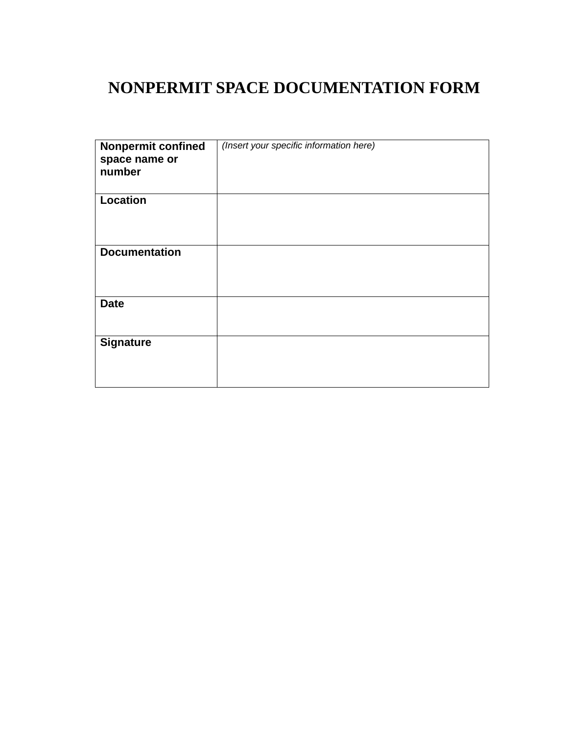## **NONPERMIT SPACE DOCUMENTATION FORM**

| <b>Nonpermit confined</b><br>space name or<br>number | (Insert your specific information here) |
|------------------------------------------------------|-----------------------------------------|
| <b>Location</b>                                      |                                         |
| <b>Documentation</b>                                 |                                         |
| <b>Date</b>                                          |                                         |
| <b>Signature</b>                                     |                                         |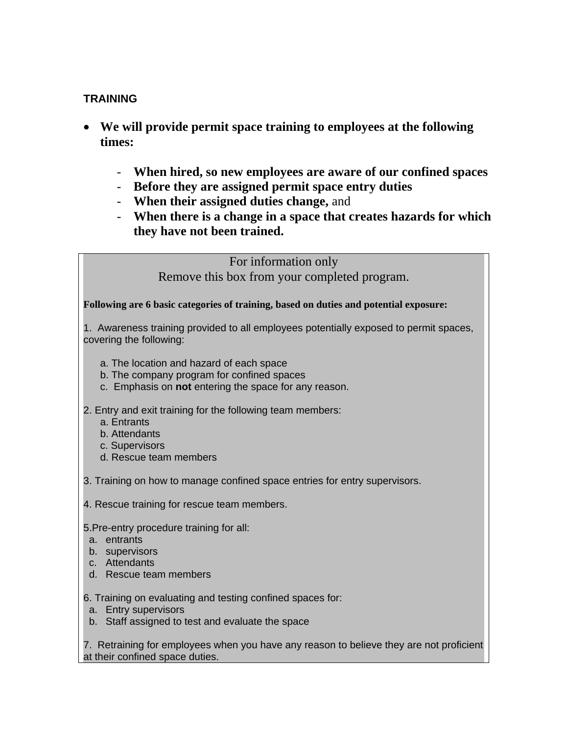#### **TRAINING**

- • **We will provide permit space training to employees at the following times:** 
	- **When hired, so new employees are aware of our confined spaces**
	- **Before they are assigned permit space entry duties**
	- **When their assigned duties change,** and
	- **When there is a change in a space that creates hazards for which they have not been trained.**

For information only Remove this box from your completed program.

**Following are 6 basic categories of training, based on duties and potential exposure:** 

1. Awareness training provided to all employees potentially exposed to permit spaces, covering the following:

- a. The location and hazard of each space
- b. The company program for confined spaces
- c. Emphasis on **not** entering the space for any reason.

2. Entry and exit training for the following team members:

- a. Entrants
- b. Attendants
- c. Supervisors
- d. Rescue team members

3. Training on how to manage confined space entries for entry supervisors.

4. Rescue training for rescue team members.

5.Pre-entry procedure training for all:

- a. entrants
- b. supervisors
- c. Attendants
- d. Rescue team members

6. Training on evaluating and testing confined spaces for:

- a. Entry supervisors
- b. Staff assigned to test and evaluate the space

7. Retraining for employees when you have any reason to believe they are not proficient at their confined space duties.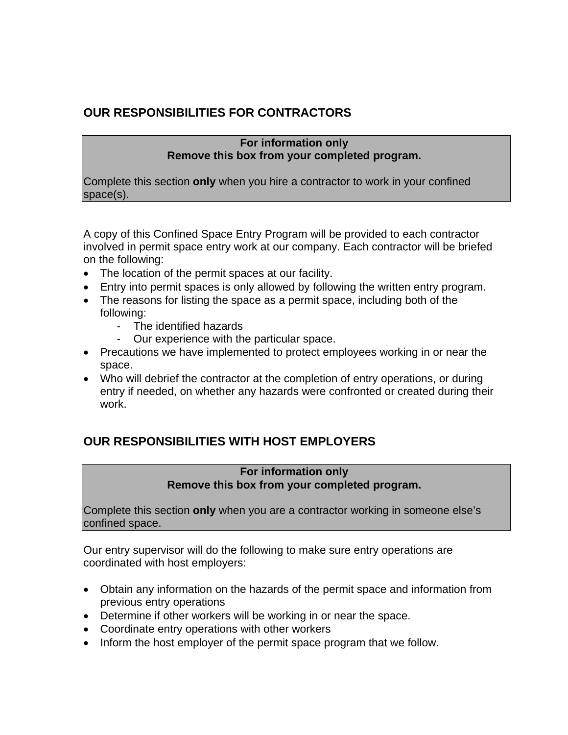## **OUR RESPONSIBILITIES FOR CONTRACTORS**

#### **For information only Remove this box from your completed program.**

Complete this section **only** when you hire a contractor to work in your confined space(s).

A copy of this Confined Space Entry Program will be provided to each contractor involved in permit space entry work at our company. Each contractor will be briefed on the following:

- The location of the permit spaces at our facility.
- Entry into permit spaces is only allowed by following the written entry program.
- The reasons for listing the space as a permit space, including both of the following:
	- The identified hazards
	- Our experience with the particular space.
- Precautions we have implemented to protect employees working in or near the space.
- Who will debrief the contractor at the completion of entry operations, or during entry if needed, on whether any hazards were confronted or created during their work.

### **OUR RESPONSIBILITIES WITH HOST EMPLOYERS**

#### **For information only Remove this box from your completed program.**

Complete this section **only** when you are a contractor working in someone else's confined space.

Our entry supervisor will do the following to make sure entry operations are coordinated with host employers:

- Obtain any information on the hazards of the permit space and information from previous entry operations
- Determine if other workers will be working in or near the space.
- Coordinate entry operations with other workers
- Inform the host employer of the permit space program that we follow.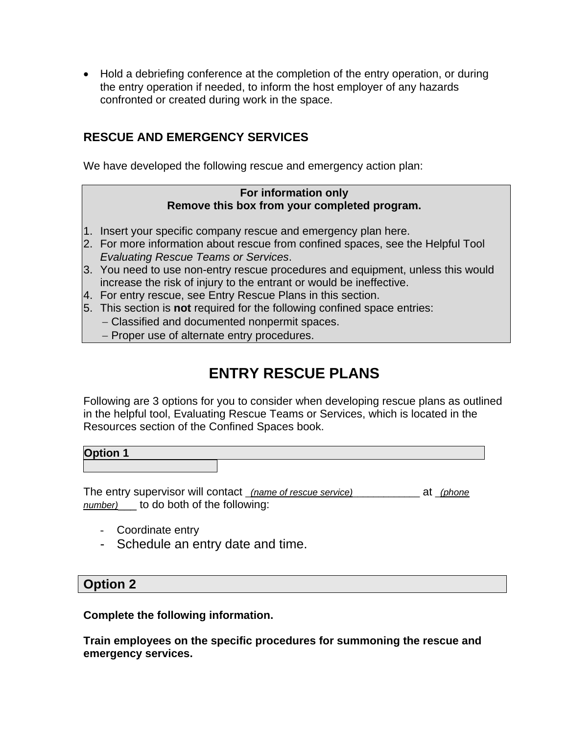• Hold a debriefing conference at the completion of the entry operation, or during the entry operation if needed, to inform the host employer of any hazards confronted or created during work in the space.

### **RESCUE AND EMERGENCY SERVICES**

We have developed the following rescue and emergency action plan:

#### **For information only Remove this box from your completed program.**

- 1. Insert your specific company rescue and emergency plan here.
- 2. For more information about rescue from confined spaces, see the Helpful Tool *Evaluating Rescue Teams or Services*.
- 3. You need to use non-entry rescue procedures and equipment, unless this would increase the risk of injury to the entrant or would be ineffective.
- 4. For entry rescue, see Entry Rescue Plans in this section.
- 5. This section is **not** required for the following confined space entries:
	- − Classified and documented nonpermit spaces.
	- − Proper use of alternate entry procedures.

## **ENTRY RESCUE PLANS**

Following are 3 options for you to consider when developing rescue plans as outlined in the helpful tool, Evaluating Rescue Teams or Services, which is located in the Resources section of the Confined Spaces book.

#### **Option 1**

The entry supervisor will contact \_*(name of rescue service)*\_\_\_\_\_\_\_\_\_\_\_\_\_ at \_*(phone number)*\_\_\_ to do both of the following:

- Coordinate entry
- Schedule an entry date and time.

#### **Option 2**

**Complete the following information.** 

**Train employees on the specific procedures for summoning the rescue and emergency services.**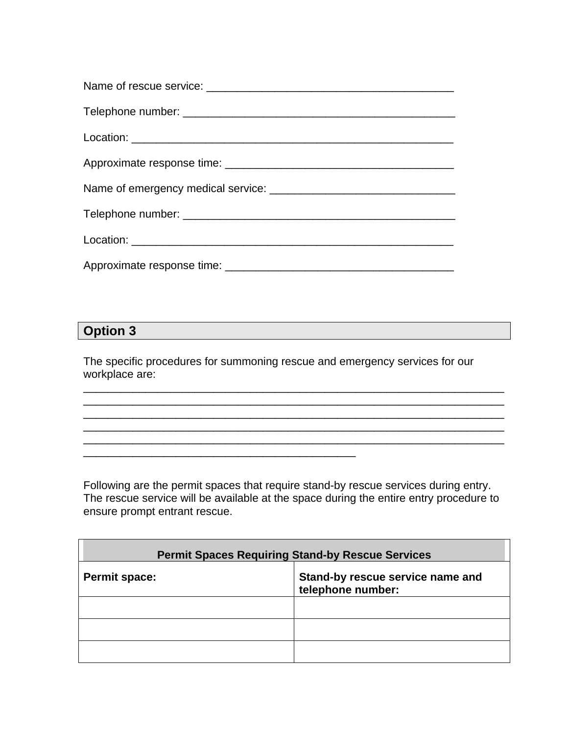## **Option 3**

The specific procedures for summoning rescue and emergency services for our workplace are:

\_\_\_\_\_\_\_\_\_\_\_\_\_\_\_\_\_\_\_\_\_\_\_\_\_\_\_\_\_\_\_\_\_\_\_\_\_\_\_\_\_\_\_\_

\_\_\_\_\_\_\_\_\_\_\_\_\_\_\_\_\_\_\_\_\_\_\_\_\_\_\_\_\_\_\_\_\_\_\_\_\_\_\_\_\_\_\_\_\_\_\_\_\_\_\_\_\_\_\_\_\_\_\_\_\_\_\_\_\_\_\_\_ \_\_\_\_\_\_\_\_\_\_\_\_\_\_\_\_\_\_\_\_\_\_\_\_\_\_\_\_\_\_\_\_\_\_\_\_\_\_\_\_\_\_\_\_\_\_\_\_\_\_\_\_\_\_\_\_\_\_\_\_\_\_\_\_\_\_\_\_ \_\_\_\_\_\_\_\_\_\_\_\_\_\_\_\_\_\_\_\_\_\_\_\_\_\_\_\_\_\_\_\_\_\_\_\_\_\_\_\_\_\_\_\_\_\_\_\_\_\_\_\_\_\_\_\_\_\_\_\_\_\_\_\_\_\_\_\_ \_\_\_\_\_\_\_\_\_\_\_\_\_\_\_\_\_\_\_\_\_\_\_\_\_\_\_\_\_\_\_\_\_\_\_\_\_\_\_\_\_\_\_\_\_\_\_\_\_\_\_\_\_\_\_\_\_\_\_\_\_\_\_\_\_\_\_\_ \_\_\_\_\_\_\_\_\_\_\_\_\_\_\_\_\_\_\_\_\_\_\_\_\_\_\_\_\_\_\_\_\_\_\_\_\_\_\_\_\_\_\_\_\_\_\_\_\_\_\_\_\_\_\_\_\_\_\_\_\_\_\_\_\_\_\_\_

Following are the permit spaces that require stand-by rescue services during entry. The rescue service will be available at the space during the entire entry procedure to ensure prompt entrant rescue.

| <b>Permit Spaces Requiring Stand-by Rescue Services</b>                       |  |  |
|-------------------------------------------------------------------------------|--|--|
| Stand-by rescue service name and<br><b>Permit space:</b><br>telephone number: |  |  |
|                                                                               |  |  |
|                                                                               |  |  |
|                                                                               |  |  |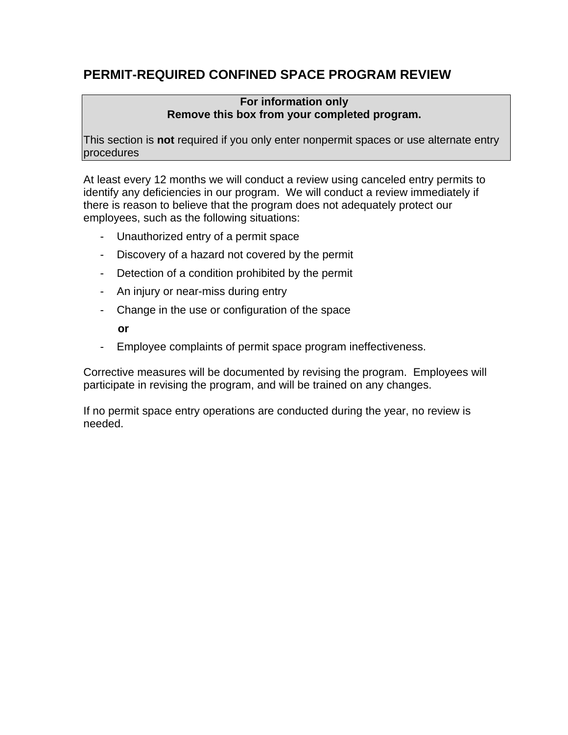## **PERMIT-REQUIRED CONFINED SPACE PROGRAM REVIEW**

#### **For information only Remove this box from your completed program.**

This section is **not** required if you only enter nonpermit spaces or use alternate entry procedures

At least every 12 months we will conduct a review using canceled entry permits to identify any deficiencies in our program. We will conduct a review immediately if there is reason to believe that the program does not adequately protect our employees, such as the following situations:

- Unauthorized entry of a permit space
- Discovery of a hazard not covered by the permit
- Detection of a condition prohibited by the permit
- An injury or near-miss during entry
- Change in the use or configuration of the space **or**
- Employee complaints of permit space program ineffectiveness.

Corrective measures will be documented by revising the program. Employees will participate in revising the program, and will be trained on any changes.

If no permit space entry operations are conducted during the year, no review is needed.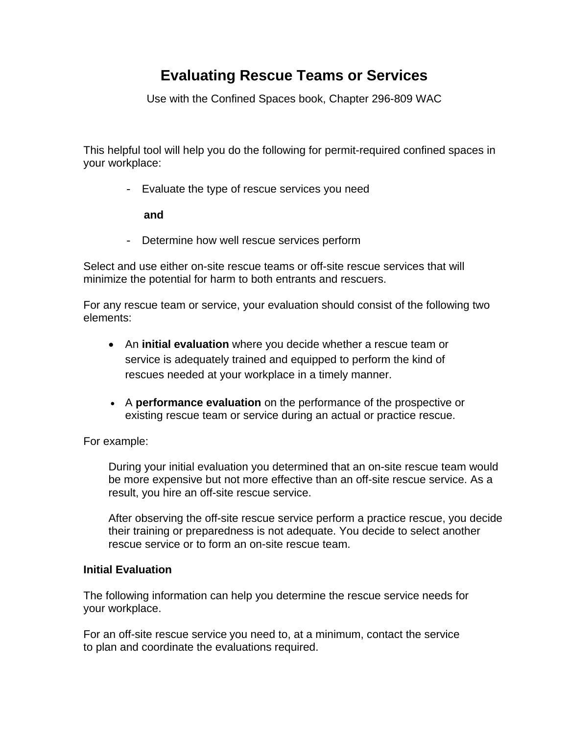## **Evaluating Rescue Teams or Services**

Use with the Confined Spaces book, Chapter 296-809 WAC

This helpful tool will help you do the following for permit-required confined spaces in your workplace:

- Evaluate the type of rescue services you need

**and** 

- Determine how well rescue services perform

Select and use either on-site rescue teams or off-site rescue services that will minimize the potential for harm to both entrants and rescuers.

For any rescue team or service, your evaluation should consist of the following two elements:

- An **initial evaluation** where you decide whether a rescue team or service is adequately trained and equipped to perform the kind of rescues needed at your workplace in a timely manner.
- • A **performance evaluation** on the performance of the prospective or existing rescue team or service during an actual or practice rescue.

For example:

During your initial evaluation you determined that an on-site rescue team would be more expensive but not more effective than an off-site rescue service. As a result, you hire an off-site rescue service.

After observing the off-site rescue service perform a practice rescue, you decide their training or preparedness is not adequate. You decide to select another rescue service or to form an on-site rescue team.

#### **Initial Evaluation**

The following information can help you determine the rescue service needs for your workplace.

For an off-site rescue service you need to, at a minimum, contact the service to plan and coordinate the evaluations required.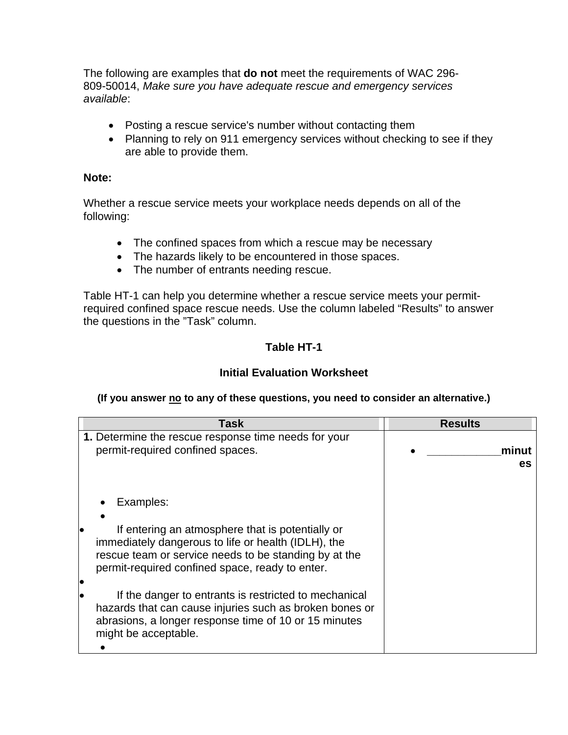The following are examples that **do not** meet the requirements of WAC 296- 809-50014, *Make sure you have adequate rescue and emergency services available*:

- Posting a rescue service's number without contacting them
- Planning to rely on 911 emergency services without checking to see if they are able to provide them.

#### **Note:**

Whether a rescue service meets your workplace needs depends on all of the following:

- The confined spaces from which a rescue may be necessary
- The hazards likely to be encountered in those spaces.
- The number of entrants needing rescue.

Table HT-1 can help you determine whether a rescue service meets your permitrequired confined space rescue needs. Use the column labeled "Results" to answer the questions in the "Task" column.

#### **Table HT-1**

#### **Initial Evaluation Worksheet**

#### (If you answer no to any of these questions, you need to consider an alternative.)

| Task                                                                                                             | <b>Results</b> |
|------------------------------------------------------------------------------------------------------------------|----------------|
| 1. Determine the rescue response time needs for your                                                             |                |
| permit-required confined spaces.                                                                                 | minut          |
|                                                                                                                  | es             |
|                                                                                                                  |                |
|                                                                                                                  |                |
| Examples:                                                                                                        |                |
|                                                                                                                  |                |
| If entering an atmosphere that is potentially or                                                                 |                |
| immediately dangerous to life or health (IDLH), the                                                              |                |
| rescue team or service needs to be standing by at the                                                            |                |
| permit-required confined space, ready to enter.                                                                  |                |
|                                                                                                                  |                |
| If the danger to entrants is restricted to mechanical                                                            |                |
| hazards that can cause injuries such as broken bones or<br>abrasions, a longer response time of 10 or 15 minutes |                |
| might be acceptable.                                                                                             |                |
|                                                                                                                  |                |
|                                                                                                                  |                |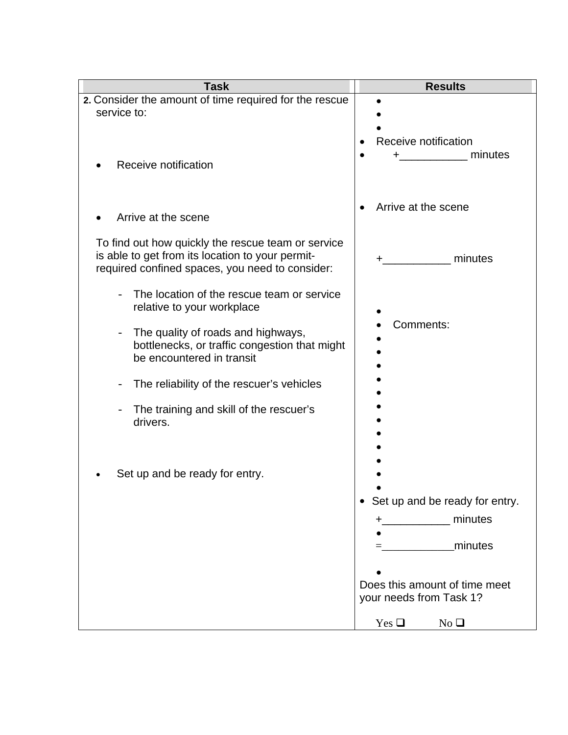| <b>Task</b>                                                                                                                                               | <b>Results</b>                                                                                                                                    |
|-----------------------------------------------------------------------------------------------------------------------------------------------------------|---------------------------------------------------------------------------------------------------------------------------------------------------|
| 2. Consider the amount of time required for the rescue<br>service to:                                                                                     | Receive notification                                                                                                                              |
| Receive notification                                                                                                                                      | minutes                                                                                                                                           |
| Arrive at the scene                                                                                                                                       | Arrive at the scene                                                                                                                               |
| To find out how quickly the rescue team or service<br>is able to get from its location to your permit-<br>required confined spaces, you need to consider: | minutes                                                                                                                                           |
| The location of the rescue team or service<br>relative to your workplace                                                                                  |                                                                                                                                                   |
| The quality of roads and highways,<br>$\overline{\phantom{m}}$<br>bottlenecks, or traffic congestion that might<br>be encountered in transit              | Comments:                                                                                                                                         |
| The reliability of the rescuer's vehicles                                                                                                                 |                                                                                                                                                   |
| The training and skill of the rescuer's<br>drivers.                                                                                                       |                                                                                                                                                   |
| Set up and be ready for entry.                                                                                                                            | Set up and be ready for entry.<br>minutes<br>minutes<br>Does this amount of time meet<br>your needs from Task 1?<br>$Yes \square$<br>$No \square$ |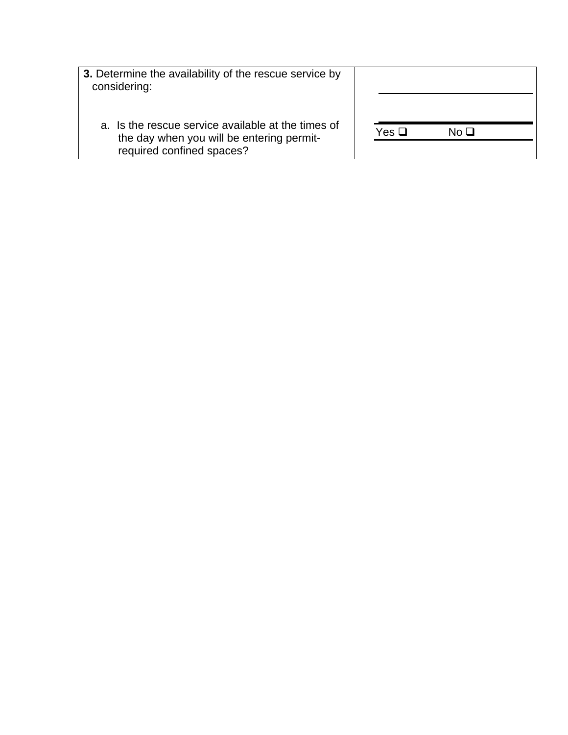| 3. Determine the availability of the rescue service by<br>considering:                                                       |                       |
|------------------------------------------------------------------------------------------------------------------------------|-----------------------|
| a. Is the rescue service available at the times of<br>the day when you will be entering permit-<br>required confined spaces? | Yes $\square$<br>No □ |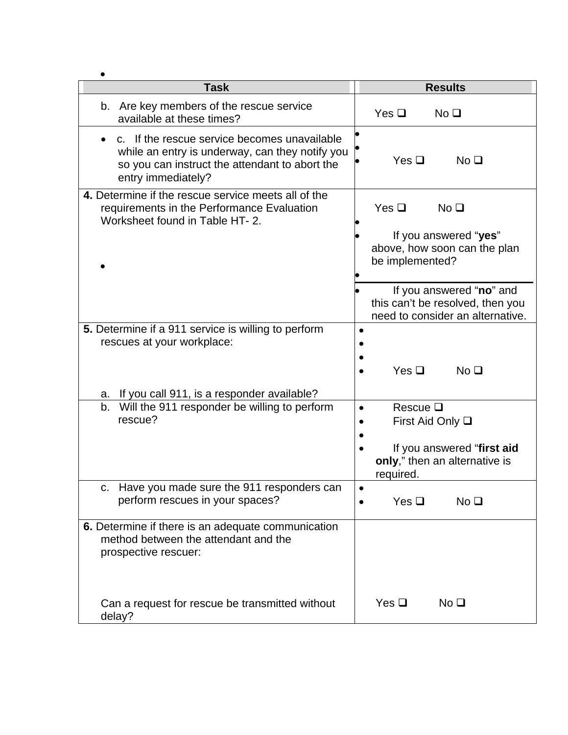| <b>Task</b>                                                                                                                                                             | <b>Results</b>                                                                                                        |  |
|-------------------------------------------------------------------------------------------------------------------------------------------------------------------------|-----------------------------------------------------------------------------------------------------------------------|--|
| Are key members of the rescue service<br>b.<br>available at these times?                                                                                                | Yes $\Box$<br>No <sub>Q</sub>                                                                                         |  |
| c. If the rescue service becomes unavailable<br>while an entry is underway, can they notify you<br>so you can instruct the attendant to abort the<br>entry immediately? | Yes $\Box$<br>No <sub>Q</sub>                                                                                         |  |
| 4. Determine if the rescue service meets all of the<br>requirements in the Performance Evaluation<br>Worksheet found in Table HT- 2.                                    | Yes $\Box$<br>No <sub>Q</sub><br>If you answered "yes"<br>above, how soon can the plan<br>be implemented?             |  |
|                                                                                                                                                                         | If you answered "no" and<br>this can't be resolved, then you<br>need to consider an alternative.                      |  |
| 5. Determine if a 911 service is willing to perform<br>rescues at your workplace:                                                                                       | Yes $\Box$<br>No <sub>Q</sub>                                                                                         |  |
| a. If you call 911, is a responder available?                                                                                                                           |                                                                                                                       |  |
| b. Will the 911 responder be willing to perform<br>rescue?                                                                                                              | Rescue $\Box$<br>First Aid Only $\square$<br>If you answered "first aid<br>only," then an alternative is<br>required. |  |
| Have you made sure the 911 responders can<br>perform rescues in your spaces?                                                                                            | Yes $\Box$<br>No <sub>Q</sub>                                                                                         |  |
| 6. Determine if there is an adequate communication<br>method between the attendant and the<br>prospective rescuer:                                                      |                                                                                                                       |  |
| Can a request for rescue be transmitted without<br>delay?                                                                                                               | Yes $\Box$<br>No <sub>Q</sub>                                                                                         |  |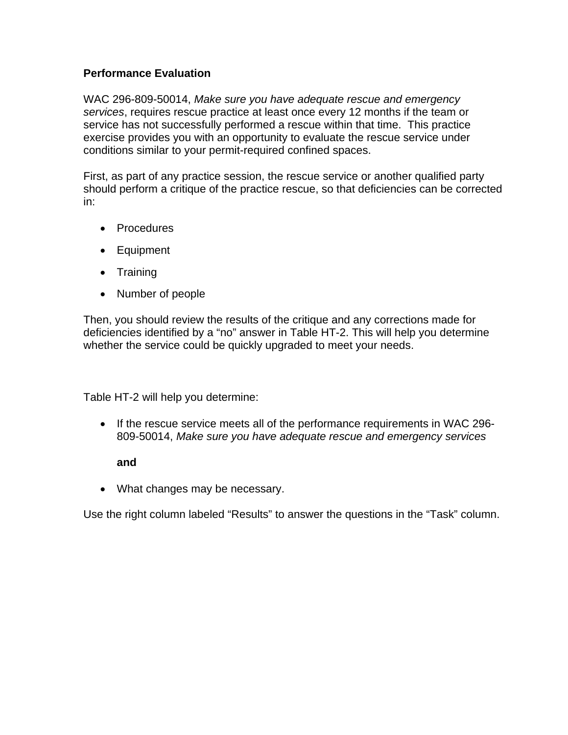#### **Performance Evaluation**

WAC 296-809-50014, *Make sure you have adequate rescue and emergency services*, requires rescue practice at least once every 12 months if the team or service has not successfully performed a rescue within that time. This practice exercise provides you with an opportunity to evaluate the rescue service under conditions similar to your permit-required confined spaces.

First, as part of any practice session, the rescue service or another qualified party should perform a critique of the practice rescue, so that deficiencies can be corrected in:

- Procedures
- Equipment
- Training
- Number of people

Then, you should review the results of the critique and any corrections made for deficiencies identified by a "no" answer in Table HT-2. This will help you determine whether the service could be quickly upgraded to meet your needs.

Table HT-2 will help you determine:

• If the rescue service meets all of the performance requirements in WAC 296- 809-50014, *Make sure you have adequate rescue and emergency services*

#### **and**

• What changes may be necessary.

Use the right column labeled "Results" to answer the questions in the "Task" column.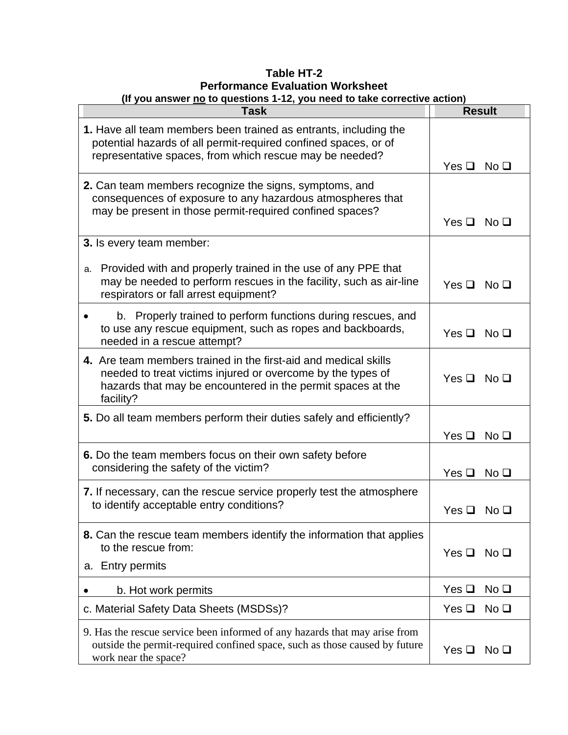| Table HT-2                                                               |  |  |
|--------------------------------------------------------------------------|--|--|
| <b>Performance Evaluation Worksheet</b>                                  |  |  |
| (If you answer no to questions 1-12, you need to take corrective action) |  |  |

| <b>Ou anower <u>no</u></b> to questions <b>they</b> you need to take corrective action<br>Task                                                                                                             | <b>Result</b>                                   |
|------------------------------------------------------------------------------------------------------------------------------------------------------------------------------------------------------------|-------------------------------------------------|
| 1. Have all team members been trained as entrants, including the<br>potential hazards of all permit-required confined spaces, or of<br>representative spaces, from which rescue may be needed?             |                                                 |
|                                                                                                                                                                                                            | Yes $\Box$<br>No <sub>Q</sub>                   |
| 2. Can team members recognize the signs, symptoms, and<br>consequences of exposure to any hazardous atmospheres that<br>may be present in those permit-required confined spaces?                           | $Yes \Box No \Box$                              |
| 3. Is every team member:                                                                                                                                                                                   |                                                 |
| a. Provided with and properly trained in the use of any PPE that<br>may be needed to perform rescues in the facility, such as air-line<br>respirators or fall arrest equipment?                            | $Yes \Box No \Box$                              |
| b. Properly trained to perform functions during rescues, and<br>$\bullet$<br>to use any rescue equipment, such as ropes and backboards,<br>needed in a rescue attempt?                                     | Yes $\Box$<br>No <b>□</b>                       |
| 4. Are team members trained in the first-aid and medical skills<br>needed to treat victims injured or overcome by the types of<br>hazards that may be encountered in the permit spaces at the<br>facility? | Yes $\Box$<br>$\overline{\mathsf{No}\ \square}$ |
| 5. Do all team members perform their duties safely and efficiently?                                                                                                                                        |                                                 |
|                                                                                                                                                                                                            | Yes $\Box$<br>No <sub>Q</sub>                   |
| 6. Do the team members focus on their own safety before<br>considering the safety of the victim?                                                                                                           | Yes $\Box$<br>No <sub>Q</sub>                   |
| 7. If necessary, can the rescue service properly test the atmosphere<br>to identify acceptable entry conditions?                                                                                           | No <b>❑</b><br>Yes $\square$                    |
| 8. Can the rescue team members identify the information that applies<br>to the rescue from:<br>a. Entry permits                                                                                            | Yes $\Box$<br>No <sub>D</sub>                   |
| b. Hot work permits                                                                                                                                                                                        | Yes $\Box$<br>No <sub>1</sub>                   |
| c. Material Safety Data Sheets (MSDSs)?                                                                                                                                                                    | Yes $\Box$<br>No <sub>1</sub>                   |
| 9. Has the rescue service been informed of any hazards that may arise from<br>outside the permit-required confined space, such as those caused by future<br>work near the space?                           | Yes $\Box$<br>No <sub>Q</sub>                   |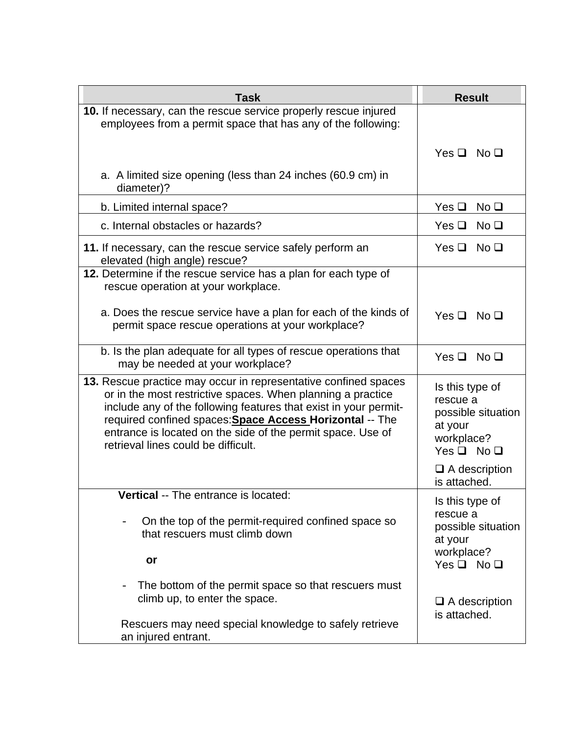| <b>Task</b>                                                                                                                                                                                                                                                                                                                                                          | <b>Result</b>                                                                                    |
|----------------------------------------------------------------------------------------------------------------------------------------------------------------------------------------------------------------------------------------------------------------------------------------------------------------------------------------------------------------------|--------------------------------------------------------------------------------------------------|
| 10. If necessary, can the rescue service properly rescue injured<br>employees from a permit space that has any of the following:                                                                                                                                                                                                                                     |                                                                                                  |
|                                                                                                                                                                                                                                                                                                                                                                      | $Yes \Box No \Box$                                                                               |
| a. A limited size opening (less than 24 inches (60.9 cm) in<br>diameter)?                                                                                                                                                                                                                                                                                            |                                                                                                  |
| b. Limited internal space?                                                                                                                                                                                                                                                                                                                                           | Yes $\square$<br>No <sub>Q</sub>                                                                 |
| c. Internal obstacles or hazards?                                                                                                                                                                                                                                                                                                                                    | Yes $\square$<br>No <sub>Q</sub>                                                                 |
| 11. If necessary, can the rescue service safely perform an<br>elevated (high angle) rescue?                                                                                                                                                                                                                                                                          | No <sub>Q</sub><br>Yes $\Box$                                                                    |
| 12. Determine if the rescue service has a plan for each type of<br>rescue operation at your workplace.                                                                                                                                                                                                                                                               |                                                                                                  |
| a. Does the rescue service have a plan for each of the kinds of<br>permit space rescue operations at your workplace?                                                                                                                                                                                                                                                 | Yes $\Box$<br>No <b>□</b>                                                                        |
| b. Is the plan adequate for all types of rescue operations that<br>may be needed at your workplace?                                                                                                                                                                                                                                                                  | Yes $\Box$<br>No <b>❑</b>                                                                        |
| 13. Rescue practice may occur in representative confined spaces<br>or in the most restrictive spaces. When planning a practice<br>include any of the following features that exist in your permit-<br>required confined spaces: Space Access Horizontal -- The<br>entrance is located on the side of the permit space. Use of<br>retrieval lines could be difficult. | Is this type of<br>rescue a<br>possible situation<br>at your<br>workplace?<br>$Yes \Box No \Box$ |
|                                                                                                                                                                                                                                                                                                                                                                      | $\Box$ A description<br>is attached.                                                             |
| <b>Vertical</b> -- The entrance is located:<br>On the top of the permit-required confined space so<br>that rescuers must climb down                                                                                                                                                                                                                                  | Is this type of<br>rescue a<br>possible situation<br>at your<br>workplace?                       |
| or                                                                                                                                                                                                                                                                                                                                                                   | $Yes \Box No \Box$                                                                               |
| The bottom of the permit space so that rescuers must<br>climb up, to enter the space.                                                                                                                                                                                                                                                                                | $\Box$ A description<br>is attached.                                                             |
| Rescuers may need special knowledge to safely retrieve<br>an injured entrant.                                                                                                                                                                                                                                                                                        |                                                                                                  |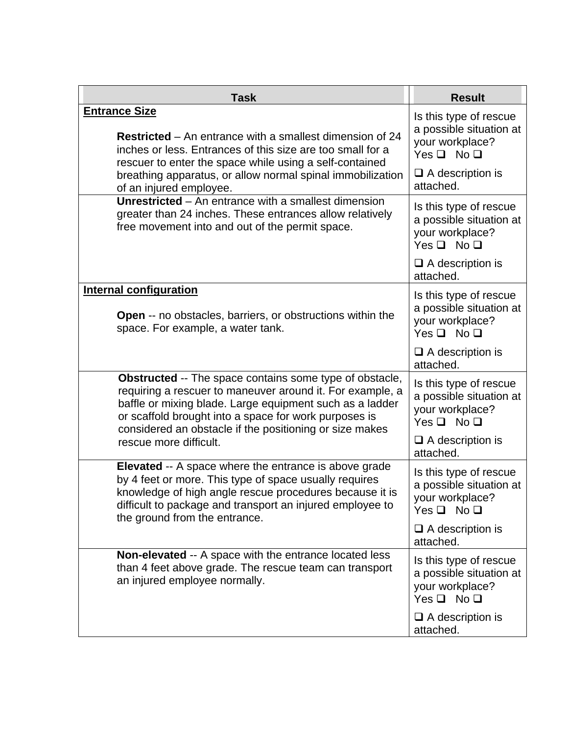| <b>Task</b>                                                                                                                                                                                                                                                                                                                    | <b>Result</b>                                                                                                         |
|--------------------------------------------------------------------------------------------------------------------------------------------------------------------------------------------------------------------------------------------------------------------------------------------------------------------------------|-----------------------------------------------------------------------------------------------------------------------|
| <b>Entrance Size</b><br><b>Restricted</b> – An entrance with a smallest dimension of 24<br>inches or less. Entrances of this size are too small for a<br>rescuer to enter the space while using a self-contained<br>breathing apparatus, or allow normal spinal immobilization                                                 | Is this type of rescue<br>a possible situation at<br>your workplace?<br>$Yes \Box No \Box$<br>$\Box$ A description is |
| of an injured employee.<br>Unrestricted $-$ An entrance with a smallest dimension<br>greater than 24 inches. These entrances allow relatively<br>free movement into and out of the permit space.                                                                                                                               | attached.<br>Is this type of rescue<br>a possible situation at<br>your workplace?<br>$Yes \Box No \Box$               |
|                                                                                                                                                                                                                                                                                                                                | $\Box$ A description is<br>attached.                                                                                  |
| <b>Internal configuration</b><br><b>Open</b> -- no obstacles, barriers, or obstructions within the<br>space. For example, a water tank.                                                                                                                                                                                        | Is this type of rescue<br>a possible situation at<br>your workplace?<br>$Yes \Box No \Box$                            |
|                                                                                                                                                                                                                                                                                                                                | $\Box$ A description is<br>attached.                                                                                  |
| Obstructed -- The space contains some type of obstacle,<br>requiring a rescuer to maneuver around it. For example, a<br>baffle or mixing blade. Large equipment such as a ladder<br>or scaffold brought into a space for work purposes is<br>considered an obstacle if the positioning or size makes<br>rescue more difficult. | Is this type of rescue<br>a possible situation at<br>your workplace?<br>$Yes \Box No \Box$                            |
|                                                                                                                                                                                                                                                                                                                                | $\Box$ A description is<br>attached.                                                                                  |
| Elevated -- A space where the entrance is above grade<br>by 4 feet or more. This type of space usually requires<br>knowledge of high angle rescue procedures because it is<br>difficult to package and transport an injured employee to<br>the ground from the entrance.                                                       | Is this type of rescue<br>a possible situation at<br>your workplace?<br>$Yes \Box No \Box$                            |
|                                                                                                                                                                                                                                                                                                                                | $\Box$ A description is<br>attached.                                                                                  |
| <b>Non-elevated --</b> A space with the entrance located less<br>than 4 feet above grade. The rescue team can transport<br>an injured employee normally.                                                                                                                                                                       | Is this type of rescue<br>a possible situation at<br>your workplace?<br>Yes $\square$ No $\square$                    |
|                                                                                                                                                                                                                                                                                                                                | $\Box$ A description is<br>attached.                                                                                  |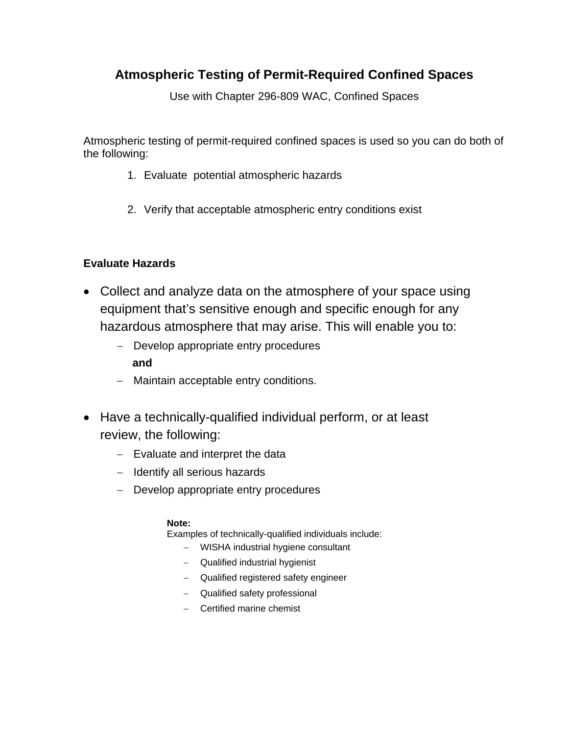# **Atmospheric Testing of Permit-Required Confined Spaces**

Use with Chapter 296-809 WAC, Confined Spaces

Atmospheric testing of permit-required confined spaces is used so you can do both of the following:

- 1. Evaluate potential atmospheric hazards
- 2. Verify that acceptable atmospheric entry conditions exist

#### **Evaluate Hazards**

- Collect and analyze data on the atmosphere of your space using equipment that's sensitive enough and specific enough for any hazardous atmosphere that may arise. This will enable you to:
	- **and**  − Develop appropriate entry procedures
	- − Maintain acceptable entry conditions.
- Have a technically-qualified individual perform, or at least review, the following:
	- − Evaluate and interpret the data
	- − Identify all serious hazards
	- − Develop appropriate entry procedures

#### **Note:**

Examples of technically-qualified individuals include:

- − WISHA industrial hygiene consultant
- − Qualified industrial hygienist
- − Qualified registered safety engineer
- − Qualified safety professional
- − Certified marine chemist